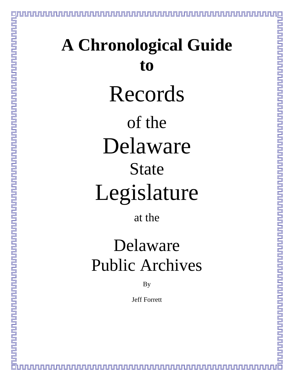# **A Chronological Guide to**  Records of the Delaware State Legislature

at the

# Delaware Public Archives

By

Jeff Forrett

<u>UNUNUNUNUNUNUNUNUNUNUNUN</u>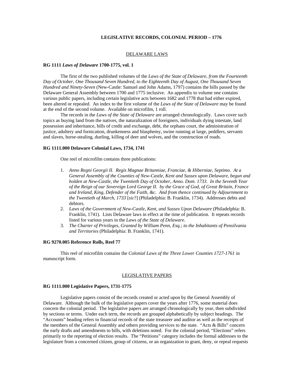# **LEGISLATIVE RECORDS, COLONIAL PERIOD – 1776**

#### DELAWARE LAWS

#### **RG 1111** *Laws of Delaware* **1700-1775, vol. 1**

 The first of the two published volumes of the *Laws of the State of Delaware, from the Fourteenth Day of October, One Thousand Seven Hundred, to the Eighteenth Day of August, One Thousand Seven Hundred and Ninety-Seven* (New-Castle: Samuel and John Adams, 1797) contains the bills passed by the Delaware General Assembly between 1700 and 1775 inclusive. An appendix to volume one contains various public papers, including certain legislative acts between 1682 and 1778 that had either expired, been altered or repealed. An index to the first volume of the *Laws of the State of Delaware* may be found at the end of the second volume. Available on microfilm, 1 roll.

 The records in the *Laws of the State of Delaware* are arranged chronologically. Laws cover such topics as buying land from the natives, the naturalization of foreigners, individuals dying intestate, land possession and inheritance, bills of credit and exchange, debt, the orphans court, the administration of justice, adultery and fornication, drunkenness and blasphemy, swine running at large, peddlers, servants and slaves, horse-stealing, dueling, killing of deer and wolves, and the construction of roads.

#### **RG 1111.000 Delaware Colonial Laws, 1734, 1741**

One reel of microfilm contains three publications:

- 1. *Anno Regni Georgii II. Regis Magnae Britanniae, Franciae, & Hiberniae, Septimo. At a General Assembly of the Counties of New-Castle, Kent and Sussex upon Delaware, begun and holden at New-Castle, the Twentieth Day of October, Anno. Dom. 1733. In the Seventh Year of the Reign of our Sovereign Lord George II. by the Grace of God, of Great Britain, France and Ireland, King, Defender of the Faith, &c. And from thence continued by Adjournment to the Twentieth of March, 1733* [*sic*?] (Philadelphia: B. Franklin, 1734). Addresses debts and debtors.
- 2. *Laws of the Government of New-Castle, Kent, and Sussex Upon Delaware* (Philadelphia: B. Franklin, 1741). Lists Delaware laws in effect at the time of publication. It repeats records listed for various years in the *Laws of the State of Delaware*.
- 3. *The Charter of Privileges, Granted by William Penn, Esq.; to the Inhabitants of Pensilvania and Territories* (Philadelphia: B. Franklin, 1741).

#### **RG 9270.005 Reference Rolls, Reel 77**

 This reel of microfilm contains the *Colonial Laws of the Three Lower Counties 1727-1761* in manuscript form.

#### LEGISLATIVE PAPERS

#### **RG 1111.000 Legislative Papers, 1731-1775**

Legislative papers consist of the records created or acted upon by the General Assembly of Delaware. Although the bulk of the legislative papers cover the years after 1776, some material does concern the colonial period. The legislative papers are arranged chronologically by year, then subdivided by sections or terms. Under each term, the records are grouped alphabetically by subject headings. The "Accounts" heading refers to financial records of the state treasurer and auditor as well as the receipts of the members of the General Assembly and others providing services to the state. "Acts & Bills" concern the early drafts and amendments to bills, with deletions noted. For the colonial period, "Elections" refers primarily to the reporting of election results. The "Petitions" category includes the formal addresses to the legislature from a concerned citizen, group of citizens, or an organization to grant, deny, or repeal requests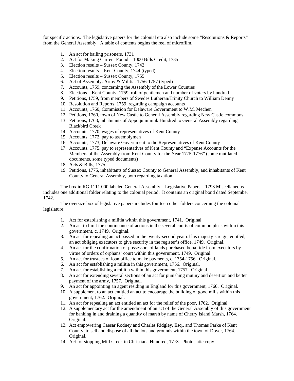for specific actions. The legislative papers for the colonial era also include some "Resolutions & Reports" from the General Assembly. A table of contents begins the reel of microfilm.

- 1. An act for bailing prisoners, 1731
- 2. Act for Making Current Pound 1000 Bills Credit, 1735
- 3. Election results Sussex County, 1742
- 4. Election results Kent County, 1744 (typed)
- 5. Election results Sussex County, 1755
- 6. Act of Assembly: Army & Militia, 1756-1757 (typed)
- 7. Accounts, 1759, concerning the Assembly of the Lower Counties
- 8. Elections Kent County, 1759, roll of gentlemen and number of voters by hundred
- 9. Petitions, 1759, from members of Swedes Lutheran/Trinity Church to William Denny
- 10. Resolution and Reports, 1759, regarding campaign accounts
- 11. Accounts, 1760, Commission for Delaware Government to W.M. Mechen
- 12. Petitions, 1760, town of New Castle to General Assembly regarding New Castle commons
- 13. Petitions, 1763, inhabitants of Appoquinimink Hundred to General Assembly regarding Blackbird Creek
- 14. Accounts, 1770, wages of representatives of Kent County
- 15. Accounts, 1772, pay to assemblymen
- 16. Accounts, 1773, Delaware Government to the Representatives of Kent County
- 17. Accounts, 1775, pay to representatives of Kent County and "Expense Accounts for the Members of the Assembly from Kent County for the Year 1775-1776" (some mutilated documents, some typed documents)
- 18. Acts & Bills, 1775
- 19. Petitions, 1775, inhabitants of Sussex County to General Assembly, and inhabitants of Kent County to General Assembly, both regarding taxation

The box in RG 1111.000 labeled General Assembly – Legislative Papers – 1793 Miscellaneous includes one additional folder relating to the colonial period. It contains an original bond dated September 1742.

The oversize box of legislative papers includes fourteen other folders concerning the colonial legislature:

- 1. Act for establishing a militia within this government, 1741. Original.
- 2. An act to limit the continuance of actions in the several courts of common pleas within this government, c. 1749. Original.
- 3. An act for repealing an act passed in the twenty-second year of his majesty's reign, entitled, an act obliging executors to give security in the register's office, 1749. Original.
- 4. An act for the confirmation of possessors of lands purchased bona fide from executors by virtue of orders of orphans' court within this government, 1749. Original.
- 5. An act for trustees of loan office to make payments, c. 1754-1756. Original.
- 6. An act for establishing a militia in this government, 1756. Original.
- 7. An act for establishing a militia within this government, 1757. Original.
- 8. An act for extending several sections of an act for punishing mutiny and desertion and better payment of the army, 1757. Original.
- 9. An act for appointing an agent residing in England for this government, 1760. Original.
- 10. A supplement to an act entitled an act to encourage the building of good mills within this government, 1762. Original.
- 11. An act for repealing an act entitled an act for the relief of the poor, 1762. Original.
- 12. A supplementary act for the amendment of an act of the General Assembly of this government for banking in and draining a quantity of marsh by name of Cherry Island Marsh, 1764. Original.
- 13. Act empowering Caesar Rodney and Charles Ridgley, Esq., and Thomas Parke of Kent County, to sell and dispose of all the lots and grounds within the town of Dover, 1764. Original.
- 14. Act for stopping Mill Creek in Christiana Hundred, 1773. Photostatic copy.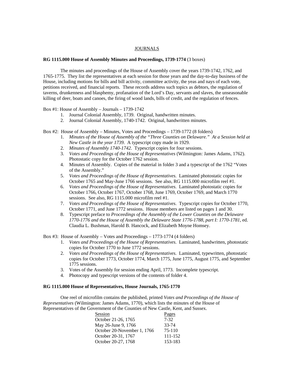#### JOURNALS

#### **RG 1115.000 House of Assembly Minutes and Proceedings, 1739-1774** (3 boxes)

 The minutes and proceedings of the House of Assembly cover the years 1739-1742, 1762, and 1765-1775. They list the representatives at each session for those years and the day-to-day business of the House, including motions for bills and bill activity, committee activity, the yeas and nays of each vote, petitions received, and financial reports. These records address such topics as debtors, the regulation of taverns, drunkenness and blasphemy, profanation of the Lord's Day, servants and slaves, the unseasonable killing of deer, boats and canoes, the firing of wood lands, bills of credit, and the regulation of fences.

# Box #1: House of Assembly – Journals – 1739-1742

- 1. Journal Colonial Assembly, 1739. Original, handwritten minutes.
- 2. Journal Colonial Assembly, 1740-1742. Original, handwritten minutes.
- Box #2: House of Assembly Minutes, Votes and Proceedings 1739-1772 (8 folders)
	- 1. *Minutes of the House of Assembly of the "Three Counties on Delaware." At a Session held at New Castle in the year 1739*. A typescript copy made in 1929.
	- 2. *Minutes of Assembly 1740-1742*. Typescript copies for four sessions.
	- 3. *Votes and Proceedings of the House of Representatives* (Wilmington: James Adams, 1762). Photostatic copy for the October 1762 session.
	- 4. Minutes of Assembly. Copies of the material in folder 3 and a typescript of the 1762 "Votes of the Assembly."
	- 5. *Votes and Proceedings of the House of Representatives*. Laminated photostatic copies for October 1765 and May-June 1766 sessions. See also, RG 1115.000 microfilm reel #1.
	- 6. *Votes and Proceedings of the House of Representatives*. Laminated photostatic copies for October 1766, October 1767, October 1768, June 1769, October 1769, and March 1770 sessions. See also, RG 1115.000 microfilm reel #1.
	- 7. *Votes and Proceedings of the House of Representatives*. Typescript copies for October 1770, October 1771, and June 1772 sessions. House members are listed on pages 1 and 30.
	- 8. Typescript preface to *Proceedings of the Assembly of the Lower Counties on the Delaware 1770-1776 and the House of Assembly the Delaware State 1776-1788, part I: 1770-1781*, ed. Claudia L. Bushman, Harold B. Hancock, and Elizabeth Moyne Homsey.

Box #3: House of Assembly – Votes and Proceedings – 1773-1774 (4 folders)

- 1. *Votes and Proceedings of the House of Representatives*. Laminated, handwritten, photostatic copies for October 1770 to June 1772 sessions.
- 2. *Votes and Proceedings of the House of Representatives*. Laminated, typewritten, photostatic copies for October 1773, October 1774, March 1775, June 1775, August 1775, and September 1775 sessions.
- 3. Votes of the Assembly for session ending April, 1773. Incomplete typescript.
- 4. Photocopy and typescript versions of the contents of folder 4.

# **RG 1115.000 House of Representatives, House Journals, 1765-1770**

One reel of microfilm contains the published, printed *Votes and Proceedings of the House of Representatives* (Wilmington: James Adams, 1770), which lists the minutes of the House of Representatives of the Government of the Counties of New Castle, Kent, and Sussex.

| Session                     | <u>Pages</u> |
|-----------------------------|--------------|
| October 21-26, 1765         | $7 - 32$     |
| May 26-June 9, 1766         | 33-74        |
| October 20-November 1, 1766 | 75-110       |
| October 20-31, 1767         | 111-152      |
| October 20-27, 1768         | 153-183      |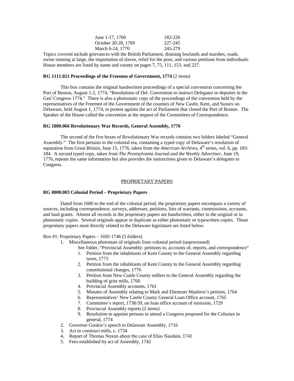| June 1-17, 1769     | 183-226 |
|---------------------|---------|
| October 20-28, 1769 | 227-245 |
| March 6-24, 1770    | 245-279 |

Topics covered include grievances with the British Parliament, draining lowlands and marshes, roads, swine running at large, the importation of slaves, relief for the poor, and various petitions from individuals. House members are listed by name and county on pages 7, 75, 111, 153, and 227.

# **RG 1111.021 Proceedings of the Freemen of Government, 1774** (2 items)

 This box contains the original handwritten proceedings of a special convention concerning the Port of Boston, August 1-2, 1774, "Resolutions of Del. Convention to instruct Delegates or deputies in the Gen<sup>1</sup> Congress 1774." There is also a photostatic copy of the proceedings of the convention held by the representatives of the Freemen of the Government of the counties of New Castle, Kent, and Sussex on Delaware, held August 1, 1774, to protest against the act of Parliament that closed the Port of Boston. The Speaker of the House called the convention at the request of the Committees of Correspondence.

# **RG 1800.066 Revolutionary War Records, General Assembly, 1776**

 The second of the five boxes of Revolutionary War records contains two folders labeled "General Assembly." The first pertains to the colonial era, containing a typed copy of Delaware's resolution of separation from Great Britain, June 15, 1776, taken from the *American Archives*, 4<sup>th</sup> series, vol. 6, pp. 183-184. A second typed copy, taken from *The Pennsylvania Journal and the Weekly Advertiser*, June 19, 1776, repeats the same information but also provides the instructions given to Delaware's delegates to Congress.

#### PROPRIETARY PAPERS

#### **RG 0000.003 Colonial Period – Proprietary Papers**

Dated from 1680 to the end of the colonial period, the proprietary papers encompass a variety of sources, including correspondence, surveys, addresses, petitions, lists of warrants, commissions, accounts, and land grants. Almost all records in the proprietary papers are handwritten, either in the original or in photostatic copies. Several originals appear in duplicate as either photostatic or typewritten copies. Those proprietary papers most directly related to the Delaware legislature are listed below.

#### Box #1: Proprietary Papers – 1692-1746 (5 folders)

- 1. Miscellaneous photostats of originals from colonial period (unprocessed)
	- See folder, "Provincial Assembly: petitions to, accounts of, reports, and correspondence"
	- 1. Petition from the inhabitants of Kent County to the General Assembly regarding taxes, 1773
	- 2. Petition from the inhabitants of Kent County to the General Assembly regarding constitutional changes, 1776
	- 3. Petition from New Castle County millers to the General Assembly regarding the building of grist mills, 1760
	- 4. Provincial Assembly accounts, 1761
	- 5. Minutes of Assembly relating to Mark and Ebenezer Manlove's petition, 1764
	- 6. Representatives' New Castle County General Loan Office account, 1765
	- 7. Committee's report, 1738/39, on loan office account of emission, 1729
	- 8. Provincial Assembly reports (2 items)
	- 9. Resolution to appoint persons to attend a Congress proposed for the Colonies in general, 1774
- 2. Governor Gookin's speech to Delaware Assembly, 1716
- 3. Act to construct mills, c. 1734
- 4. Report of Thomas Noxon about the case of Elias Naudain, 1741
- 5. Fees established by act of Assembly, 1742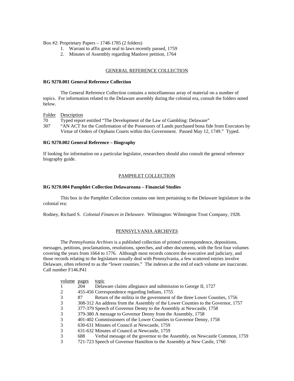Box #2: Proprietary Papers – 1748-1785 (2 folders)

- 1. Warrant to affix great seal to laws recently passed, 1759
- 2. Minutes of Assembly regarding Manlove petition, 1764

#### GENERAL REFERENCE COLLECTION

# **RG 9270.001 General Reference Collection**

 The General Reference Collection contains a miscellaneous array of material on a number of topics. For information related to the Delaware assembly during the colonial era, consult the folders noted below.

Folder Description

70 Typed report entitled "The Development of the Law of Gambling: Delaware"

307 "AN ACT for the Confirmation of the Possessors of Lands purchased bona fide from Executors by Virtue of Orders of Orphans Courts within this Government. Passed May 12, 1749." Typed.

# **RG 9270.002 General Reference – Biography**

If looking for information on a particular legislator, researchers should also consult the general reference biography guide.

#### PAMPHLET COLLECTION

#### **RG 9270.004 Pamphlet Collection Delawareana – Financial Studies**

 This box in the Pamphlet Collection contains one item pertaining to the Delaware legislature in the colonial era:

Rodney, Richard S. *Colonial Finances in Delaware*. Wilmington: Wilmington Trust Company, 1928.

#### PENNSYLVANIA ARCHIVES

 The *Pennsylvania Archives* is a published collection of printed correspondence, depositions, messages, petitions, proclamations, resolutions, speeches, and other documents, with the first four volumes covering the years from 1664 to 1776. Although most records concern the executive and judiciary, and those records relating to the legislature usually deal with Pennsylvania, a few scattered entries involve Delaware, often referred to as the "lower counties." The indexes at the end of each volume are inaccurate. Call number F146.P41

| volume pages |     | topic                                                                            |
|--------------|-----|----------------------------------------------------------------------------------|
|              | 204 | Delaware claims allegiance and submission to George II, 1727                     |
| 2            |     | 455-456 Correspondence regarding Indians, 1755                                   |
| 3            | 87  | Return of the militia in the government of the three Lower Counties, 1756        |
| 3            |     | 308-312 An address from the Assembly of the Lower Counties to the Governor, 1757 |
| 3            |     | 377-379 Speech of Governor Denny to the Assembly at Newcastle, 1758              |
| 3            |     | 379-380 A message to Governor Denny from the Assembly, 1758                      |
| 3            |     | 401-402 Commissioners of the Lower Counties to Governor Denny, 1758              |
| 3            |     | 630-631 Minutes of Council at Newcastle, 1759                                    |
| 3            |     | 631-632 Minutes of Council at Newcastle, 1759                                    |
| 3            | 688 | Verbal message of the governor to the Assembly, on Newcastle Common, 1759        |
| 3            |     | 721-723 Speech of Governor Hamilton to the Assembly at New Castle, 1760          |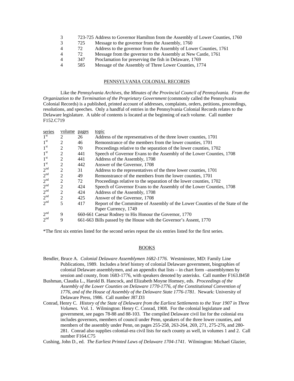| 3              |     | 723-725 Address to Governor Hamilton from the Assembly of Lower Counties, 1760 |
|----------------|-----|--------------------------------------------------------------------------------|
| 3              | 725 | Message to the governor from the Assembly, 1760                                |
| 4              | 72  | Address to the governor from the Assembly of Lower Counties, 1761              |
| 4              | 72  | Message from the governor to the Assembly at New Castle, 1761                  |
| 4              | 347 | Proclamation for preserving the fish in Delaware, 1769                         |
| $\overline{4}$ | 585 | Message of the Assembly of Three Lower Counties, 1774                          |
|                |     |                                                                                |

# PENNSYLVANIA COLONIAL RECORDS

 Like the *Pennsylvania Archives*, the *Minutes of the Provincial Council of Pennsylvania. From the Organization to the Termination of the Proprietary Government* (commonly called the Pennsylvania Colonial Records) is a published, printed account of addresses, complaints, orders, petitions, proceedings, resolutions, and speeches. Only a handful of entries in the Pennsylvania Colonial Records relates to the Delaware legislature. A table of contents is located at the beginning of each volume. Call number F152.C719

| series          | <u>volume</u> pages |     | topic                                                                         |
|-----------------|---------------------|-----|-------------------------------------------------------------------------------|
| 1 <sup>st</sup> | 2                   | 26  | Address of the representatives of the three lower counties, 1701              |
| 1 <sup>st</sup> | 2                   | 46  | Remonstrance of the members from the lower counties, 1701                     |
| 1 <sup>st</sup> | 2                   | 70  | Proceedings relative to the separation of the lower counties, 1702            |
| 1 <sup>st</sup> | 2                   | 441 | Speech of Governor Evans to the Assembly of the Lower Counties, 1708          |
| 1 <sup>st</sup> | 2                   | 441 | Address of the Assembly, 1708                                                 |
| 1 <sup>st</sup> | 2                   | 442 | Answer of the Governor, 1708                                                  |
| 2 <sup>nd</sup> | 2                   | 31  | Address to the representatives of the three lower counties, 1701              |
| 2 <sup>nd</sup> | 2                   | 49  | Remonstrance of the members from the lower counties, 1701                     |
| 2 <sup>nd</sup> | 2                   | 72  | Proceedings relative to the separation of the lower counties, 1702            |
| 2 <sup>nd</sup> | $\overline{2}$      | 424 | Speech of Governor Evans to the Assembly of the Lower Counties, 1708          |
| 2 <sup>nd</sup> | $\overline{2}$      | 424 | Address of the Assembly, 1708                                                 |
| 2 <sup>nd</sup> | 2                   | 425 | Answer of the Governor, 1708                                                  |
| 2 <sup>nd</sup> | 5                   | 417 | Report of the Committee of Assembly of the Lower Counties of the State of the |
|                 |                     |     | Paper Currency, 1749                                                          |
| 2 <sup>nd</sup> | 9                   |     | 660-661 Caesar Rodney to His Honour the Governor, 1770                        |
| 2 <sup>nd</sup> | 9                   |     | 661-663 Bills passed by the House with the Governor's Assent, 1770            |

\*The first six entries listed for the second series repeat the six entries listed for the first series.

#### BOOKS

Cushing, John D., ed. *The Earliest Printed Laws of Delaware 1704-1741*. Wilmington: Michael Glazier,

Bendler, Bruce A. *Colonial Delaware Assemblymen 1682-1776*. Westminster, MD: Family Line Publications, 1989. Includes a brief history of colonial Delaware government, biographies of colonial Delaware assemblymen, and an appendix that lists – in chart form –assemblymen by session and county, from 1683-1776, with speakers denoted by asterisks. Call number F163.B458

Bushman, Claudia L., Harold B. Hancock, and Elizabeth Moyne Homsey, eds. *Proceedings of the Assembly of the Lower Counties on Delaware 1770-1776, of the Constitutional Convention of 1776, and of the House of Assembly of the Delaware State 1776-1781*. Newark: University of Delaware Press, 1986. Call number J87.D3

Conrad, Henry C. *History of the State of Delaware from the Earliest Settlements to the Year 1907 in Three Volumes*. Vol. 1. Wilmington: Henry C. Conrad, 1908. For the colonial legislature and government, see pages 78-88 and 88-103. The compiled Delaware civil list for the colonial era includes governors, members of council under Penn, speakers of the three lower counties, and members of the assembly under Penn, on pages 255-258, 263-264, 269, 271, 275-276, and 280- 281. Conrad also supplies colonial-era civil lists for each county as well, in volumes 1 and 2. Call number F164.C75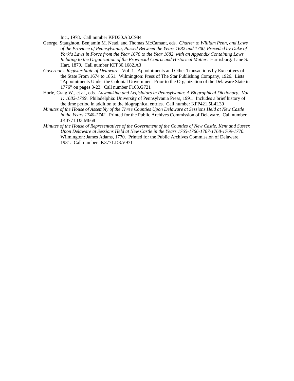Inc., 1978. Call number KFD30.A3.C984

- George, Staughton, Benjamin M. Nead, and Thomas McCamant, eds. *Charter to William Penn, and Laws of the Province of Pennsylvania, Passed Between the Years 1682 and 1700, Preceded by Duke of York's Laws in Force from the Year 1676 to the Year 1682, with an Appendix Containing Laws Relating to the Organization of the Provincial Courts and Historical Matter*. Harrisburg: Lane S. Hart, 1879. Call number KFP30.1682.A3
- *Governor's Register State of Delaware*. Vol. 1. Appointments and Other Transactions by Executives of the State From 1674 to 1851. Wilmington: Press of The Star Publishing Company, 1926. Lists "Appointments Under the Colonial Government Prior to the Organization of the Delaware State in 1776" on pages 3-23. Call number F163.G721
- Horle, Craig W., et al., eds. *Lawmaking and Legislators in Pennsylvania: A Biographical Dictionary. Vol. 1: 1682-1709*. Philadelphia: University of Pennsylvania Press, 1991. Includes a brief history of the time period in addition to the biographical entries. Call number KFP421.5L4L39
- *Minutes of the House of Assembly of the Three Counties Upon Delaware at Sessions Held at New Castle in the Years 1740-1742*. Printed for the Public Archives Commission of Delaware. Call number JK3771.D3.M668
- *Minutes of the House of Representatives of the Government of the Counties of New Castle, Kent and Sussex Upon Delaware at Sessions Held at New Castle in the Years 1765-1766-1767-1768-1769-1770*. Wilmington: James Adams, 1770. Printed for the Public Archives Commission of Delaware, 1931. Call number JK3771.D3.V971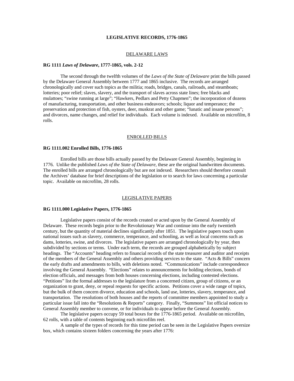#### **LEGISLATIVE RECORDS, 1776-1865**

#### DELAWARE LAWS

#### **RG 1111** *Laws of Delaware***, 1777-1865, vols. 2-12**

 The second through the twelfth volumes of the *Laws of the State of Delaware* print the bills passed by the Delaware General Assembly between 1777 and 1865 inclusive. The records are arranged chronologically and cover such topics as the militia; roads, bridges, canals, railroads, and steamboats; lotteries; poor relief; slaves, slavery, and the transport of slaves across state lines; free blacks and mulattoes; "swine running at large"; "Hawkers, Pedlars and Petty Chapmen"; the incorporation of dozens of manufacturing, transportation, and other business endeavors; schools; liquor and temperance; the preservation and protection of fish, oysters, deer, muskrat and other game; "lunatic and insane persons"; and divorces, name changes, and relief for individuals. Each volume is indexed. Available on microfilm, 8 rolls.

#### ENROLLED BILLS

#### **RG 1111.002 Enrolled Bills, 1776-1865**

 Enrolled bills are those bills actually passed by the Delaware General Assembly, beginning in 1776. Unlike the published *Laws of the State of Delaware*, these are the original handwritten documents. The enrolled bills are arranged chronologically but are not indexed. Researchers should therefore consult the Archives' database for brief descriptions of the legislation or to search for laws concerning a particular topic. Available on microfilm, 28 rolls.

#### LEGISLATIVE PAPERS

# **RG 1111.000 Legislative Papers, 1776-1865**

 Legislative papers consist of the records created or acted upon by the General Assembly of Delaware. These records begin prior to the Revolutionary War and continue into the early twentieth century, but the quantity of material declines significantly after 1851. The legislative papers touch upon national issues such as slavery, commerce, temperance, and schooling, as well as local concerns such as dams, lotteries, swine, and divorces. The legislative papers are arranged chronologically by year, then subdivided by sections or terms. Under each term, the records are grouped alphabetically by subject headings. The "Accounts" heading refers to financial records of the state treasurer and auditor and receipts of the members of the General Assembly and others providing services to the state. "Acts & Bills" concern the early drafts and amendments to bills, with deletions noted. "Communications" include correspondence involving the General Assembly. "Elections" relates to announcements for holding elections, bonds of election officials, and messages from both houses concerning elections, including contested elections. "Petitions" list the formal addresses to the legislature from a concerned citizen, group of citizens, or an organization to grant, deny, or repeal requests for specific actions. Petitions cover a wide range of topics, but the bulk of them concern divorce, education and schools, land use, lotteries, slavery, temperance, and transportation. The resolutions of both houses and the reports of committee members appointed to study a particular issue fall into the "Resolutions & Reports" category. Finally, "Summons" list official notices to General Assembly member to convene, or for individuals to appear before the General Assembly.

 The legislative papers occupy 59 total boxes for the 1776-1865 period. Available on microfilm, 62 rolls, with a table of contents beginning each microfilm reel.

 A sample of the types of records for this time period can be seen in the Legislative Papers oversize box, which contains sixteen folders concerning the years after 1776: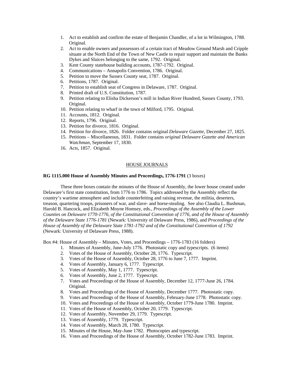- 1. Act to establish and confirm the estate of Benjamin Chandler, of a lot in Wilmington, 1788. Original.
- 2. Act to enable owners and possessors of a certain tract of Meadow Ground Marsh and Cripple situate at the North End of the Town of New Castle to repair support and maintain the Banks Dykes and Sluices belonging to the same, 1792. Original.
- 3. Kent County statehouse building accounts, 1787-1792. Original.
- 4. Communications Annapolis Convention, 1786. Original.
- 5. Petition to move the Sussex County seat, 1787. Original.
- 6. Petitions, 1787. Original.
- 7. Petition to establish seat of Congress in Delaware, 1787. Original.
- 8. Printed draft of U.S. Constitution, 1787.
- 9. Petition relating to Elisha Dickerson's mill in Indian River Hundred, Sussex County, 1793. Original.
- 10. Petition relating to wharf in the town of Milford, 1795. Original.
- 11. Accounts, 1812. Original.
- 12. Reports, 1796. Original.
- 13. Petition for divorce, 1816. Original.
- 14. Petition for divorce, 1826. Folder contains original *Delaware Gazette*, December 27, 1825.
- 15. Petitions Miscellaneous, 1831. Folder contains *original Delaware Gazette and American Watchman*, September 17, 1830.
- 16. Acts, 1857. Original.

#### HOUSE JOURNALS

# **RG 1115.000 House of Assembly Minutes and Proceedings, 1776-1791** (3 boxes)

 These three boxes contain the minutes of the House of Assembly, the lower house created under Delaware's first state constitution, from 1776 to 1786. Topics addressed by the Assembly reflect the country's wartime atmosphere and include counterfeiting and raising revenue, the militia, deserters, treason, quartering troops, prisoners of war, and slave- and horse-stealing. See also Claudia L. Bushman, Harold B. Hancock, and Elizabeth Moyne Homsey, eds., *Proceedings of the Assembly of the Lower Counties on Delaware 1770-1776, of the Constitutional Convention of 1776, and of the House of Assembly of the Delaware State 1776-1781* (Newark: University of Delaware Press, 1986), and *Proceedings of the House of Assembly of the Delaware State 1781-1792 and of the Constitutional Convention of 1792* (Newark: University of Delaware Press, 1988).

Box #4: House of Assembly – Minutes, Votes, and Proceedings – 1776-1783 (16 folders)

- 1. Minutes of Assembly, June-July 1776. Photostatic copy and typescripts. (6 items)
- 2. Votes of the House of Assembly, October 28, 1776. Typescript.
- 3. Votes of the House of Assembly, October 28, 1776 to June 7, 1777. Imprint.
- 4. Votes of Assembly, January 6, 1777. Typescript.
- 5. Votes of Assembly, May 1, 1777. Typescript.
- 6. Votes of Assembly, June 2, 1777. Typescript.
- 7. Votes and Proceedings of the House of Assembly, December 12, 1777-June 26, 1784. Original.
- 8. Votes and Proceedings of the House of Assembly, December 1777. Photostatic copy.
- 9. Votes and Proceedings of the House of Assembly, February-June 1778. Photostatic copy.
- 10. Votes and Proceedings of the House of Assembly, October 1779-June 1780. Imprint.
- 11. Votes of the House of Assembly, October 20, 1779. Typescript.
- 12. Votes of Assembly, November 29, 1779. Typescript.
- 13. Votes of Assembly, 1779. Typescript.
- 14. Votes of Assembly, March 28, 1780. Typescript.
- 15. Minutes of the House, May-June 1782. Photocopies and typescript.
- 16. Votes and Proceedings of the House of Assembly, October 1782-June 1783. Imprint.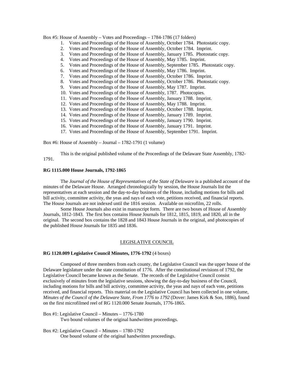Box #5: House of Assembly – Votes and Proceedings – 1784-1786 (17 folders)

- 1. Votes and Proceedings of the House of Assembly, October 1784. Photostatic copy.
- 2. Votes and Proceedings of the House of Assembly, October 1784. Imprint.
- 3. Votes and Proceedings of the House of Assembly, January 1785. Photostatic copy.
- 4. Votes and Proceedings of the House of Assembly, May 1785. Imprint.
- 5. Votes and Proceedings of the House of Assembly, September 1785. Photostatic copy.
- 6. Votes and Proceedings of the House of Assembly, May 1786. Imprint.
- 7. Votes and Proceedings of the House of Assembly, October 1786. Imprint.
- 8. Votes and Proceedings of the House of Assembly, October 1786. Photostatic copy.
- 9. Votes and Proceedings of the House of Assembly, May 1787. Imprint.
- 10. Votes and Proceedings of the House of Assembly, 1787. Photocopies.
- 11. Votes and Proceedings of the House of Assembly, January 1788. Imprint.
- 12. Votes and Proceedings of the House of Assembly, May 1788. Imprint.
- 13. Votes and Proceedings of the House of Assembly, October 1788. Imprint.
- 14. Votes and Proceedings of the House of Assembly, January 1789. Imprint.
- 15. Votes and Proceedings of the House of Assembly, January 1790. Imprint.
- 16. Votes and Proceedings of the House of Assembly, January 1791. Imprint.
- 17. Votes and Proceedings of the House of Assembly, September 1791. Imprint.

Box #6: House of Assembly – Journal – 1782-1791 (1 volume)

 This is the original published volume of the Proceedings of the Delaware State Assembly, 1782- 1791.

#### **RG 1115.000 House Journals, 1792-1865**

 The *Journal of the House of Representatives of the State of Delaware* is a published account of the minutes of the Delaware House. Arranged chronologically by session, the House Journals list the representatives at each session and the day-to-day business of the House, including motions for bills and bill activity, committee activity, the yeas and nays of each vote, petitions received, and financial reports. The House Journals are not indexed until the 1816 session. Available on microfilm, 22 rolls.

 Some House Journals also exist in manuscript form. There are two boxes of House of Assembly Journals, 1812-1843. The first box contains House Journals for 1812, 1815, 1819, and 1820, all in the original. The second box contains the 1828 and 1843 House Journals in the original, and photocopies of the published House Journals for 1835 and 1836.

#### LEGISLATIVE COUNCIL

#### **RG 1120.009 Legislative Council Minutes, 1776-1792** (4 boxes)

 Composed of three members from each county, the Legislative Council was the upper house of the Delaware legislature under the state constitution of 1776. After the constitutional revisions of 1792, the Legislative Council became known as the Senate. The records of the Legislative Council consist exclusively of minutes from the legislative sessions, showing the day-to-day business of the Council, including motions for bills and bill activity, committee activity, the yeas and nays of each vote, petitions received, and financial reports. This material on the Legislative Council has been collected in one volume, *Minutes of the Council of the Delaware State, From 1776 to 1792* (Dover: James Kirk & Son, 1886), found on the first microfilmed reel of RG 1120.000 Senate Journals, 1776-1865.

Box #1: Legislative Council – Minutes – 1776-1780

Two bound volumes of the original handwritten proceedings.

Box #2: Legislative Council – Minutes – 1780-1792

One bound volume of the original handwritten proceedings.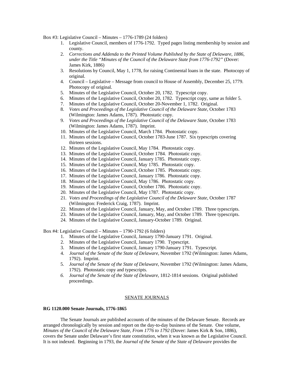Box #3: Legislative Council – Minutes – 1776-1789 (24 folders)

- 1. Legislative Council, members of 1776-1792. Typed pages listing membership by session and county.
- 2. *Corrections and Addenda to the Printed Volume Published by the State of Delaware, 1886, under the Title "Minutes of the Council of the Delaware State from 1776-1792"* (Dover: James Kirk, 1886)
- 3. Resolutions by Council, May 1, 1778, for raising Continental loans in the state. Photocopy of original.
- 4. Council Legislative Message from council to House of Assembly, December 25, 1779. Photocopy of original.
- 5. Minutes of the Legislative Council, October 20, 1782. Typescript copy.
- 6. Minutes of the Legislative Council, October 20, 1782. Typescript copy, same as folder 5.
- 7. Minutes of the Legislative Council, October 20-November 1, 1782. Original.
- 8. *Votes and Proceedings of the Legislative Council of the Delaware State*, October 1783 (Wilmington: James Adams, 1787). Photostatic copy.
- 9. *Votes and Proceedings of the Legislative Council of the Delaware State*, October 1783 (Wilmington: James Adams, 1787). Imprint.
- 10. Minutes of the Legislative Council, March 1784. Photostatic copy.
- 11. Minutes of the Legislative Council, October 1783-June 1787. Six typescripts covering thirteen sessions.
- 12. Minutes of the Legislative Council, May 1784. Photostatic copy.
- 13. Minutes of the Legislative Council, October 1784. Photostatic copy.
- 14. Minutes of the Legislative Council, January 1785. Photostatic copy.
- 15. Minutes of the Legislative Council, May 1785. Photostatic copy.
- 16. Minutes of the Legislative Council, October 1785. Photostatic copy.
- 17. Minutes of the Legislative Council, January 1786. Photostatic copy.
- 18. Minutes of the Legislative Council, May 1786. Photostatic copy.
- 19. Minutes of the Legislative Council, October 1786. Photostatic copy.
- 20. Minutes of the Legislative Council, May 1787. Photostatic copy.
- 21. *Votes and Proceedings of the Legislative Council of the Delaware State*, October 1787 (Wilmington: Frederick Craig, 1787). Imprint.
- 22. Minutes of the Legislative Council, January, May, and October 1789. Three typescripts.
- 23. Minutes of the Legislative Council, January, May, and October 1789. Three typescripts.
- 24. Minutes of the Legislative Council, January-October 1789. Original.

Box #4: Legislative Council – Minutes – 1790-1792 (6 folders)

- 1. Minutes of the Legislative Council, January 1790-January 1791. Original.
- 2. Minutes of the Legislative Council, January 1790. Typescript.
- 3. Minutes of the Legislative Council, January 1790-January 1791. Typescript.
- 4. *Journal of the Senate of the State of Delaware*, November 1792 (Wilmington: James Adams, 1792). Imprint.
- 5. *Journal of the Senate of the State of Delaware*, November 1792 (Wilmington: James Adams, 1792). Photostatic copy and typescripts.
- *6. Journal of the Senate of the State of Delaware*, 1812-1814 sessions. Original published proceedings.

#### SENATE JOURNALS

#### **RG 1120.000 Senate Journals, 1776-1865**

The Senate Journals are published accounts of the minutes of the Delaware Senate. Records are arranged chronologically by session and report on the day-to-day business of the Senate. One volume, *Minutes of the Council of the Delaware State, From 1776 to 1792* (Dover: James Kirk & Son, 1886), covers the Senate under Delaware's first state constitution, when it was known as the Legislative Council. It is not indexed. Beginning in 1793, the *Journal of the Senate of the State of Delaware* provides the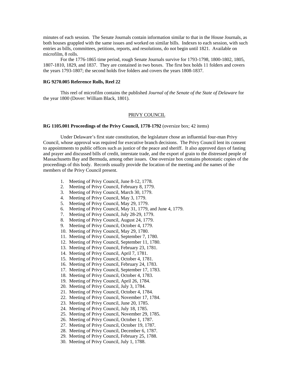minutes of each session. The Senate Journals contain information similar to that in the House Journals, as both houses grappled with the same issues and worked on similar bills. Indexes to each session, with such entries as bills, committees, petitions, reports, and resolutions, do not begin until 1821. Available on microfilm, 8 rolls.

For the 1776-1865 time period, rough Senate Journals survive for 1793-1798, 1800-1802, 1805, 1807-1810, 1829, and 1837. They are contained in two boxes. The first box holds 11 folders and covers the years 1793-1807; the second holds five folders and covers the years 1808-1837.

# **RG 9270.005 Reference Rolls, Reel 22**

 This reel of microfilm contains the published *Journal of the Senate of the State of Delaware* for the year 1800 (Dover: William Black, 1801).

#### PRIVY COUNCIL

#### **RG 1105.001 Proceedings of the Privy Council, 1778-1792** (oversize box; 42 items)

 Under Delaware's first state constitution, the legislature chose an influential four-man Privy Council, whose approval was required for executive branch decisions. The Privy Council lent its consent to appointments to public offices such as justice of the peace and sheriff. It also approved days of fasting and prayer and discussed bills of credit, interstate trade, and the export of grain to the distressed people of Massachusetts Bay and Bermuda, among other issues. One oversize box contains photostatic copies of the proceedings of this body. Records usually provide the location of the meeting and the names of the members of the Privy Council present.

- 1. Meeting of Privy Council, June 8-12, 1778.
- 2. Meeting of Privy Council, February 8, 1779.
- 3. Meeting of Privy Council, March 30, 1779.
- 4. Meeting of Privy Council, May 3, 1779.
- 5. Meeting of Privy Council, May 29, 1779.
- 6. Meeting of Privy Council, May 31, 1779, and June 4, 1779.
- 7. Meeting of Privy Council, July 28-29, 1779.
- 8. Meeting of Privy Council, August 24, 1779.
- 9. Meeting of Privy Council, October 4, 1779.
- 10. Meeting of Privy Council, May 29, 1780.
- 11. Meeting of Privy Council, September 7, 1780.
- 12. Meeting of Privy Council, September 11, 1780.
- 13. Meeting of Privy Council, February 23, 1781.
- 14. Meeting of Privy Council, April 7, 1781.
- 15. Meeting of Privy Council, October 4, 1781.
- 16. Meeting of Privy Council, February 24, 1783.
- 17. Meeting of Privy Council, September 17, 1783.
- 18. Meeting of Privy Council, October 4, 1783.
- 19. Meeting of Privy Council, April 26, 1784.
- 20. Meeting of Privy Council, July 3, 1784.
- 21. Meeting of Privy Council, October 4, 1784.
- 22. Meeting of Privy Council, November 17, 1784.
- 23. Meeting of Privy Council, June 20, 1785.
- 24. Meeting of Privy Council, July 18, 1785.
- 25. Meeting of Privy Council, November 29, 1785.
- 26. Meeting of Privy Council, October 1, 1787.
- 27. Meeting of Privy Council, October 19, 1787.
- 28. Meeting of Privy Council, December 6, 1787.
- 29. Meeting of Privy Council, February 25, 1788.
- 30. Meeting of Privy Council, July 1, 1788.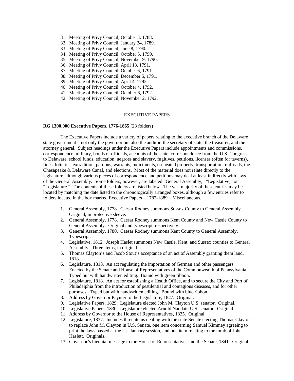- 31. Meeting of Privy Council, October 3, 1788.
- 32. Meeting of Privy Council, January 24, 1789.
- 33. Meeting of Privy Council, June 8, 1790.
- 34. Meeting of Privy Council, October 5, 1790.
- 35. Meeting of Privy Council, November 9, 1790.
- 36. Meeting of Privy Council, April 18, 1791.
- 37. Meeting of Privy Council, October 6, 1791.
- 38. Meeting of Privy Council, December 5, 1791.
- 39. Meeting of Privy Council, April 4, 1792.
- 40. Meeting of Privy Council, October 4, 1792.
- 41. Meeting of Privy Council, October 6, 1792.
- 42. Meeting of Privy Council, November 2, 1792.

#### EXECUTIVE PAPERS

#### **RG 1300.000 Executive Papers, 1776-1865** (23 folders)

 The Executive Papers include a variety of papers relating to the executive branch of the Delaware state government – not only the governor but also the auditor, the secretary of state, the treasurer, and the attorney general. Subject headings under the Executive Papers include appointments and commissions, correspondence, military, bonds of officials, accounts of the state, correspondence from the U.S. Congress to Delaware, school funds, education, negroes and slavery, fugitives, petitions, licenses (often for taverns), fines, lotteries, extradition, pardons, warrants, indictments, escheated property, transportation, railroads, the Chesapeake & Delaware Canal, and elections. Most of the material does not relate directly to the legislature, although various pieces of correspondence and petitions may deal at least indirectly with laws of the General Assembly. Some folders, however, are labeled "General Assembly," "Legislative," or "Legislature." The contents of these folders are listed below. The vast majority of these entries may be located by matching the date listed to the chronologically arranged boxes, although a few entries refer to folders located in the box marked Executive Papers – 1782-1889 – Miscellaneous.

- 1. General Assembly, 1778. Caesar Rodney summons Sussex County to General Assembly. Original, in protective sleeve.
- 2. General Assembly, 1778. Caesar Rodney summons Kent County and New Castle County to General Assembly. Original and typescript, respectively.
- 3. General Assembly, 1780. Caesar Rodney summons Kent County to General Assembly. Typescript.
- 4. Legislative, 1812. Joseph Haslet summons New Castle, Kent, and Sussex counties to General Assembly. Three items, in original.
- 5. Thomas Clayton's and Jacob Stout's acceptance of an act of Assembly granting them land, 1818.
- 6. Legislature, 1818. An act regulating the importation of German and other passengers. Enacted by the Senate and House of Representatives of the Commonwealth of Pennsylvania. Typed but with handwritten editing. Bound with green ribbon.
- 7. Legislature, 1818. An act for establishing a Health Office, and to secure the City and Port of Philadelphia from the introduction of pestilential and contagious diseases, and for other purposes. Typed but with handwritten editing. Bound with blue ribbon.
- 8. Address by Governor Paynter to the Legislature, 1827. Original.
- 9. Legislative Papers, 1829. Legislature elected John M. Clayton U.S. senator. Original.
- 10. Legislative Papers, 1830. Legislature elected Arnold Naudain U.S. senator. Original.
- 11. Address by Governor to the House of Representatives, 1835. Original.
- 12. Legislature, 1837. Includes three items dealing with the state Senate electing Thomas Clayton to replace John M. Clayton in U.S. Senate, one item concerning Samuel Kimmey agreeing to print the laws passed at the last January session, and one item relating to the tomb of John Haslett. Originals.
- 13. Governor's biennial message to the House of Representatives and the Senate, 1841. Original.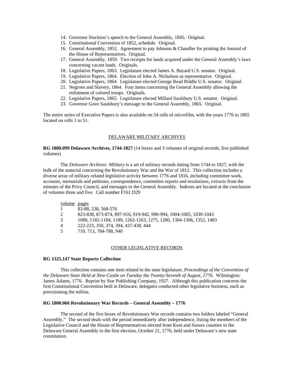- 14. Governor Stockton's speech to the General Assembly, 1845. Original.
- 15. Constitutional Convention of 1852, schedule. Original.
- 16. General Assembly, 1852. Agreement to pay Johnson & Chandler for printing the Journal of the House of Representatives. Original.
- 17. General Assembly, 1859. Two receipts for lands acquired under the General Assembly's laws concerning vacant lands. Originals.
- 18. Legislative Papers, 1863. Legislature elected James A. Bayard U.S. senator. Original.
- 19. Legislative Papers, 1864. Election of John A. Nicholson as representative. Original.
- 20. Legislative Papers, 1864. Legislature elected George Read Riddle U.S. senator. Original.
- 21. Negroes and Slavery, 1864. Four items concerning the General Assembly allowing the enlistment of colored troops. Originals.
- 22. Legislative Papers, 1865. Legislature elected Millard Saulsbury U.S. senator. Original.
- 23. Governor Gove Saulsbury's message to the General Assembly, 1865. Original.

The entire series of Executive Papers is also available on 54 rolls of microfilm, with the years 1776 to 1865 located on rolls 1 to 51.

#### DELAWARE MILITARY ARCHIVES

**RG 1800.099 Delaware Archives, 1744-1827** (14 boxes and 3 volumes of original records; five published volumes)

 The *Delaware Archives: Military* is a set of military records dating from 1744 to 1827, with the bulk of the material concerning the Revolutionary War and the War of 1812. This collection includes a diverse array of military-related legislative activity between 1776 and 1816, including committee work, accounts, memorials and petitions, correspondence, committee reports and resolutions, extracts from the minutes of the Privy Council, and messages to the General Assembly. Indexes are located at the conclusion of volumes three and five. Call number F161.D29

volume pages

|  |  |  | 83-88, 538, 568-576 |
|--|--|--|---------------------|
|--|--|--|---------------------|

- 2 823-838, 873-874, 897-916, 919-942, 990-994, 1004-1005, 1039-1043
- 3 1088, 1182-1184, 1189, 1262-1263, 1275, 1280, 1304-1306, 1352, 1483
- 4 222-223, 350, 374, 394, 437-438, 444<br>5 710, 713, 784-788, 940
- 5 710, 713, 784-788, 940

#### OTHER LEGISLATIVE RECORDS

#### **RG 1325.147 State Reports Collection**

This collection contains one item related to the state legislature, *Proceedings of the Convention of the Delaware State Held at New-Castle on Tuesday the Twenty-Seventh of August, 1776*. Wilmington: James Adams, 1776. Reprint by Star Publishing Company, 1927. Although this publication concerns the first Constitutional Convention held in Delaware, delegates conducted other legislative business, such as provisioning the militia.

# **RG 1800.066 Revolutionary War Records – General Assembly – 1776**

 The second of the five boxes of Revolutionary War records contains two folders labeled "General Assembly." The second deals with the period immediately after independence, listing the members of the Legislative Council and the House of Representatives elected from Kent and Sussex counties to the Delaware General Assembly in the first election, October 21, 1776, held under Delaware's new state constitution.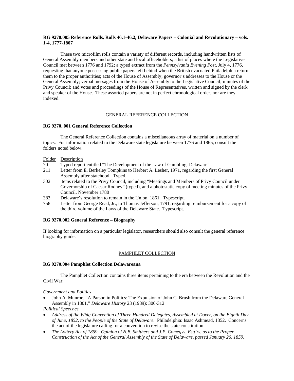# **RG 9270.005 Reference Rolls, Rolls 46.1-46.2, Delaware Papers – Colonial and Revolutionary – vols. 1-4, 1777-1807**

 These two microfilm rolls contain a variety of different records, including handwritten lists of General Assembly members and other state and local officeholders; a list of places where the Legislative Council met between 1776 and 1792; a typed extract from the *Pennsylvania Evening Post*, July 4, 1776, requesting that anyone possessing public papers left behind when the British evacuated Philadelphia return them to the proper authorities; acts of the House of Assembly; governor's addresses to the House or the General Assembly; verbal messages from the House of Assembly to the Legislative Council; minutes of the Privy Council; and votes and proceedings of the House of Representatives, written and signed by the clerk and speaker of the House. These assorted papers are not in perfect chronological order, nor are they indexed.

# GENERAL REFERENCE COLLECTION

# **RG 9270..001 General Reference Collection**

 The General Reference Collection contains a miscellaneous array of material on a number of topics. For information related to the Delaware state legislature between 1776 and 1865, consult the folders noted below.

# Folder Description

- 70 Typed report entitled "The Development of the Law of Gambling: Delaware"
- 211 Letter from E. Berkeley Tompkins to Herbert A. Lesher, 1971, regarding the first General Assembly after statehood. Typed.
- 302 items related to the Privy Council, including "Meetings and Members of Privy Council under Governorship of Caesar Rodney" (typed), and a photostatic copy of meeting minutes of the Privy Council, November 1780
- 383 Delaware's resolution to remain in the Union, 1861. Typescript.
- 758 Letter from George Read, Jr., to Thomas Jefferson, 1791, regarding reimbursement for a copy of the third volume of the Laws of the Delaware State. Typescript.

# **RG 9270.002 General Reference – Biography**

If looking for information on a particular legislator, researchers should also consult the general reference biography guide.

# PAMPHLET COLLECTION

# **RG 9270.004 Pamphlet Collection Delawareana**

 The Pamphlet Collection contains three items pertaining to the era between the Revolution and the Civil War:

# *Government and Politics*

 John A. Munroe, "A Parson in Politics: The Expulsion of John C. Brush from the Delaware General Assembly in 1801," *Delaware History* 23 (1989): 300-312

*Political Speeches* 

- *Address of the Whig Convention of Three Hundred Delegates, Assembled at Dover, on the Eighth Day of June, 1852, to the People of the State of Delaware.* Philadelphia: Isaac Ashmead, 1852. Concerns the act of the legislature calling for a convention to revise the state constitution.
- *The Lottery Act of 1859. Opinion of N.B. Smithers and J.P. Comegys, Esq'rs, as to the Proper Construction of the Act of the General Assembly of the State of Delaware, passed January 26, 1859,*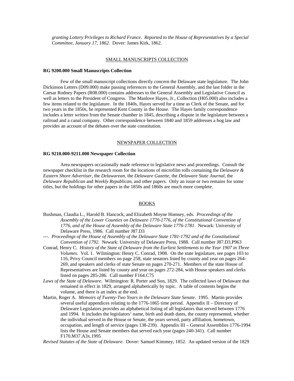*granting Lottery Privileges to Richard France. Reported to the House of Representatives by a Special Committee, January 17, 1862.* Dover: James Kirk, 1862.

#### SMALL MANUSCRIPTS COLLECTION

#### **RG 9200.000 Small Manuscripts Collection**

 Few of the small manuscript collections directly concern the Delaware state legislature. The John Dickinson Letters (D09.000) make passing references to the General Assembly, and the last folder in the Caesar Rodney Papers (R08.000) contains addresses to the General Assembly and Legislative Council as well as letters to the President of Congress. The Manlove Hayes, Jr., Collection (H05.000) also includes a few items related to the legislature. In the 1840s, Hayes served for a time as Clerk of the Senate, and for two years in the 1850s, he represented Kent County in the House. The Hayes family correspondence includes a letter written from the Senate chamber in 1845, describing a dispute in the legislature between a railroad and a canal company. Other correspondence between 1840 and 1859 addresses a hog law and provides an account of the debates over the state constitution.

# NEWSPAPER COLLECTION

#### **RG 9210.000-9211.000 Newspaper Collection**

Area newspapers occasionally made reference to legislative news and proceedings. Consult the newspaper checklist in the research room for the locations of microfilm rolls containing the *Delaware & Eastern Shore Advertiser*, the *Delawarean*, the *Delaware Gazette*, the *Delaware State Journal*, the *Delaware Republican* and *Weekly Republican*, and other papers. Only an issue or two remains for some titles, but the holdings for other papers in the 1850s and 1860s are much more complete.

# BOOKS

- Bushman, Claudia L., Harold B. Hancock, and Elizabeth Moyne Homsey, eds. *Proceedings of the Assembly of the Lower Counties on Delaware 1770-1776, of the Constitutional Convention of 1776, and of the House of Assembly of the Delaware State 1776-1781*. Newark: University of Delaware Press, 1986. Call number J87.D3
- ---. *Proceedings of the House of Assembly of the Delaware State 1781-1792 and of the Constitutional Convention of 1792*. Newark: University of Delaware Press, 1988. Call number J87.D3.P963
- Conrad, Henry C. *History of the State of Delaware from the Earliest Settlements to the Year 1907 in Three Volumes*. Vol. 1. Wilmington: Henry C. Conrad, 1908. On the state legislature, see pages 103 to 116, Privy Council members on page 258, state senators listed by county and year on pages 264- 269, and speakers and clerks of state Senate on pages 270-271. Members of the state House of Representatives are listed by county and year on pages 272-284, with House speakers and clerks listed on pages 285-286. Call number F164.C75
- *Laws of the State of Delaware*. Wilmington: R. Porter and Son, 1829. The collected laws of Delaware that remained in effect in 1829, arranged alphabetically by topic. A table of contents begins the volume, and there is an index at the end.
- Martin, Roger A. *Memoirs of Twenty-Two Years in the Delaware State Senate*. 1995. Martin provides several useful appendices relating to the 1776-1865 time period. Appendix II – Directory of Delaware Legislators provides an alphabetical listing of all legislators that served between 1776 and 1994. It includes the legislators' name, birth and death dates, the county represented, whether the individual served in the House or Senate, the years served, party affiliation, hometown, occupation, and length of service (pages 138-239). Appendix III – General Assemblies 1776-1994 lists the House and Senate members that served each year (pages 240-341). Call number F170.M37.A3x.1995

*Revised Statutes of the State of Delaware*. Dover: Samuel Kimmey, 1852. An updated version of the 1829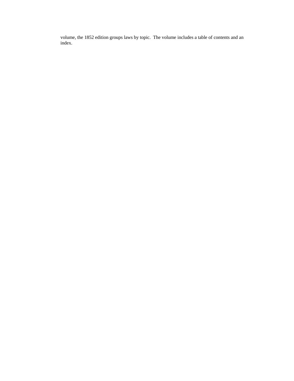volume, the 1852 edition groups laws by topic. The volume includes a table of contents and an index.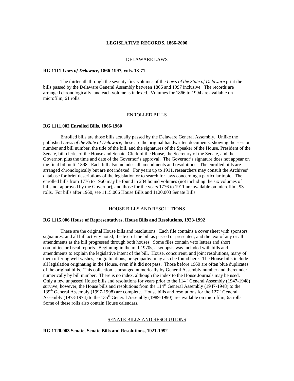#### **LEGISLATIVE RECORDS, 1866-2000**

#### DELAWARE LAWS

#### **RG 1111** *Laws of Delaware***, 1866-1997, vols. 13-71**

 The thirteenth through the seventy-first volumes of the *Laws of the State of Delaware* print the bills passed by the Delaware General Assembly between 1866 and 1997 inclusive. The records are arranged chronologically, and each volume is indexed. Volumes for 1866 to 1994 are available on microfilm, 61 rolls.

#### ENROLLED BILLS

#### **RG 1111.002 Enrolled Bills, 1866-1960**

 Enrolled bills are those bills actually passed by the Delaware General Assembly. Unlike the published *Laws of the State of Delaware*, these are the original handwritten documents, showing the session number and bill number, the title of the bill, and the signatures of the Speaker of the House, President of the Senate, bill clerks of the House and Senate, Clerk of the House, the Secretary of the Senate, and the Governor, plus the time and date of the Governor's approval. The Governor's signature does not appear on the final bill until 1898. Each bill also includes all amendments and resolutions. The enrolled bills are arranged chronologically but are not indexed. For years up to 1911, researchers may consult the Archives' database for brief descriptions of the legislation or to search for laws concerning a particular topic. The enrolled bills from 1776 to 1960 may be found in 234 bound volumes (not including the six volumes of bills not approved by the Governor), and those for the years 1776 to 1911 are available on microfilm, 93 rolls. For bills after 1960, see 1115.006 House Bills and 1120.003 Senate Bills.

#### HOUSE BILLS AND RESOLUTIONS

#### **RG 1115.006 House of Representatives, House Bills and Resolutions, 1923-1992**

 These are the original House bills and resolutions. Each file contains a cover sheet with sponsors, signatures, and all bill activity noted; the text of the bill as passed or presented; and the text of any or all amendments as the bill progressed through both houses. Some files contain veto letters and short committee or fiscal reports. Beginning in the mid-1970s, a synopsis was included with bills and amendments to explain the legislative intent of the bill. House, concurrent, and joint resolutions, many of them offering well wishes, congratulations, or sympathy, may also be found here. The House bills include all legislation originating in the House, even if it did not pass. Those before 1960 are often blue duplicates of the original bills. This collection is arranged numerically by General Assembly number and thereunder numerically by bill number. There is no index, although the index to the House Journals may be used. Only a few unpassed House bills and resolutions for years prior to the 114<sup>th</sup> General Assembly (1947-1948) survive; however, the House bills and resolutions from the  $114<sup>th</sup>$  General Assembly (1947-1948) to the  $139<sup>th</sup>$  General Assembly (1997-1998) are complete. House bills and resolutions for the  $127<sup>th</sup>$  General Assembly (1973-1974) to the 135<sup>th</sup> General Assembly (1989-1990) are available on microfilm, 65 rolls. Some of these rolls also contain House calendars.

#### SENATE BILLS AND RESOLUTIONS

# **RG 1120.003 Senate, Senate Bills and Resolutions, 1921-1992**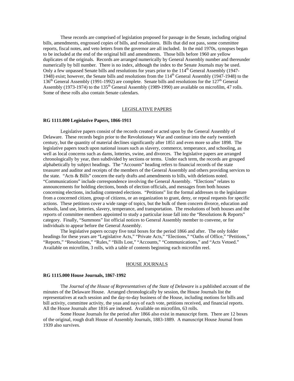These records are comprised of legislation proposed for passage in the Senate, including original bills, amendments, engrossed copies of bills, and resolutions. Bills that did not pass, some committee reports, fiscal notes, and veto letters from the governor are all included. In the mid 1970s, synopses began to be included at the end of the original bill and amendments. Those bills before 1960 are yellow duplicates of the originals. Records are arranged numerically by General Assembly number and thereunder numerically by bill number. There is no index, although the index to the Senate Journals may be used. Only a few unpassed Senate bills and resolutions for years prior to the 114<sup>th</sup> General Assembly (1947-1948) exist; however, the Senate bills and resolutions from the 114<sup>th</sup> General Assembly (1947-1948) to the  $136<sup>th</sup>$  General Assembly (1991-1992) are complete. Senate bills and resolutions for the  $127<sup>th</sup>$  General Assembly (1973-1974) to the 135<sup>th</sup> General Assembly (1989-1990) are available on microfilm, 47 rolls. Some of these rolls also contain Senate calendars.

#### LEGISLATIVE PAPERS

#### **RG 1111.000 Legislative Papers, 1866-1911**

 Legislative papers consist of the records created or acted upon by the General Assembly of Delaware. These records begin prior to the Revolutionary War and continue into the early twentieth century, but the quantity of material declines significantly after 1851 and even more so after 1898. The legislative papers touch upon national issues such as slavery, commerce, temperance, and schooling, as well as local concerns such as dams, lotteries, swine, and divorces. The legislative papers are arranged chronologically by year, then subdivided by sections or terms. Under each term, the records are grouped alphabetically by subject headings. The "Accounts" heading refers to financial records of the state treasurer and auditor and receipts of the members of the General Assembly and others providing services to the state. "Acts & Bills" concern the early drafts and amendments to bills, with deletions noted. "Communications" include correspondence involving the General Assembly. "Elections" relates to announcements for holding elections, bonds of election officials, and messages from both houses concerning elections, including contested elections. "Petitions" list the formal addresses to the legislature from a concerned citizen, group of citizens, or an organization to grant, deny, or repeal requests for specific actions. These petitions cover a wide range of topics, but the bulk of them concern divorce, education and schools, land use, lotteries, slavery, temperance, and transportation. The resolutions of both houses and the reports of committee members appointed to study a particular issue fall into the "Resolutions & Reports" category. Finally, "Summons" list official notices to General Assembly member to convene, or for individuals to appear before the General Assembly.

 The legislative papers occupy five total boxes for the period 1866 and after. The only folder headings for these years are "Legislative Acts," "Private Acts," "Elections," "Oaths of Office," "Petitions," "Reports," "Resolutions," "Rules," "Bills Lost," "Accounts," "Communications," and "Acts Vetoed." Available on microfilm, 3 rolls, with a table of contents beginning each microfilm reel.

# HOUSE JOURNALS

#### **RG 1115.000 House Journals, 1867-1992**

 The *Journal of the House of Representatives of the State of Delaware* is a published account of the minutes of the Delaware House. Arranged chronologically by session, the House Journals list the representatives at each session and the day-to-day business of the House, including motions for bills and bill activity, committee activity, the yeas and nays of each vote, petitions received, and financial reports. All the House Journals after 1816 are indexed. Available on microfilm, 63 rolls.

 Some House Journals for the period after 1866 also exist in manuscript form. There are 12 boxes of the original, rough draft House of Assembly Journals, 1883-1889. A manuscript House Journal from 1939 also survives.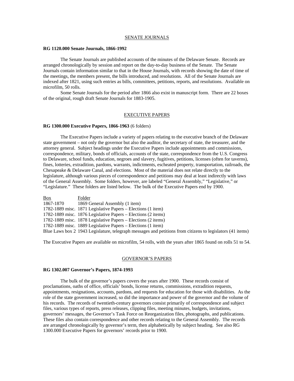#### SENATE JOURNALS

#### **RG 1120.000 Senate Journals, 1866-1992**

The Senate Journals are published accounts of the minutes of the Delaware Senate. Records are arranged chronologically by session and report on the day-to-day business of the Senate. The Senate Journals contain information similar to that in the House Journals, with records showing the date of time of the meetings, the members present, the bills introduced, and resolutions. All of the Senate Journals are indexed after 1821, using such entries as bills, committees, petitions, reports, and resolutions. Available on microfilm, 50 rolls.

Some Senate Journals for the period after 1866 also exist in manuscript form. There are 22 boxes of the original, rough draft Senate Journals for 1883-1905.

#### EXECUTIVE PAPERS

#### **RG 1300.000 Executive Papers, 1866-1963** (6 folders)

 The Executive Papers include a variety of papers relating to the executive branch of the Delaware state government – not only the governor but also the auditor, the secretary of state, the treasurer, and the attorney general. Subject headings under the Executive Papers include appointments and commissions, correspondence, military, bonds of officials, accounts of the state, correspondence from the U.S. Congress to Delaware, school funds, education, negroes and slavery, fugitives, petitions, licenses (often for taverns), fines, lotteries, extradition, pardons, warrants, indictments, escheated property, transportation, railroads, the Chesapeake & Delaware Canal, and elections. Most of the material does not relate directly to the legislature, although various pieces of correspondence and petitions may deal at least indirectly with laws of the General Assembly. Some folders, however, are labeled "General Assembly," "Legislative," or "Legislature." These folders are listed below. The bulk of the Executive Papers end by 1900.

| Box       | Folder                                                                                                     |
|-----------|------------------------------------------------------------------------------------------------------------|
| 1867-1870 | 1869 General Assembly (1 item)                                                                             |
|           | 1782-1889 misc. 1871 Legislative Papers – Elections (1 item)                                               |
|           | 1782-1889 misc. 1876 Legislative Papers – Elections (2 items)                                              |
|           | 1782-1889 misc. 1878 Legislative Papers – Elections (2 items)                                              |
|           | 1782-1889 misc. 1889 Legislative Papers – Elections (1 item)                                               |
|           | Blue Laws box 2 1943 Legislature, telegraph messages and petitions from citizens to legislators (41 items) |

The Executive Papers are available on microfilm, 54 rolls, with the years after 1865 found on rolls 51 to 54.

# GOVERNOR'S PAPERS

# **RG 1302.007 Governor's Papers, 1874-1993**

The bulk of the governor's papers covers the years after 1900. These records consist of proclamations, oaths of office, officials' bonds, license returns, commissions, extradition requests, appointments, resignations, accounts, pardons, and requests for education for those with disabilities. As the role of the state government increased, so did the importance and power of the governor and the volume of his records. The records of twentieth-century governors consist primarily of correspondence and subject files, various types of reports, press releases, clipping files, meeting minutes, budgets, invitations, governors' messages, the Governor's Task Force on Reorganization files, photographs, and publications. These files also contain correspondence and other records relating to the General Assembly. The records are arranged chronologically by governor's term, then alphabetically by subject heading. See also RG 1300.000 Executive Papers for governors' records prior to 1900.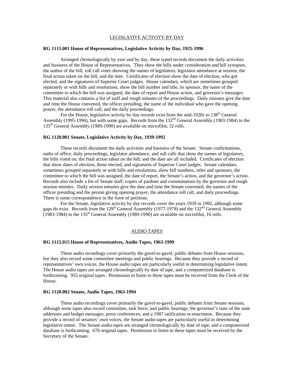# LEGISLATIVE ACTIVITY BY DAY

# **RG 1115.001 House of Representatives, Legislative Activity by Day, 1925-1996**

Arranged chronologically by year and by day, these typed records document the daily activities and business of the House of Representatives. They show the bills under consideration and bill synopses, the author of the bill, roll call votes showing the names of legislators, legislator attendance at session, the final action taken on the bill, and the date. Certificates of election show the date of election, who got elected, and the signatures of Superior Court judges. House calendars, which are sometimes grouped separately or with bills and resolutions, show the bill number and title, its sponsor, the name of the committee to which the bill was assigned, the date of report and House action, and governor's messages. This material also contains a list of staff and rough minutes of the proceedings. Daily minutes give the date and time the House convened, the officer presiding, the name of the individual who gave the opening prayer, the attendance roll call, and the daily proceedings.

For the House, legislative activity by day records exist from the mid-1920s to 138<sup>th</sup> General Assembly (1995-1996), but with some gaps. Records from the 132nd General Assembly (1983-1984) to the 135th General Assembly (1989-1990) are available on microfilm, 32 rolls.

#### **RG 1120.001 Senate, Legislative Activity by Day, 1939-1992**

These records document the daily activities and business of the Senate. Senate confirmations, oaths of office, daily proceedings, legislator attendance, and roll calls that show the names of legislators, the bills voted on, the final action taken on the bill, and the date are all included. Certificates of election that show dates of election, those elected, and signatures of Superior Court judges. Senate calendars, sometimes grouped separately or with bills and resolutions, show bill numbers, titles and sponsors, the committee to which the bill was assigned, the date of report, the Senate's action, and the governor's action. Records also include a list of Senate staff, copies of pardons and commutations by the governor and rough session minutes. Daily session minutes give the date and time the Senate convened, the names of the officer presiding and the person giving opening prayer, the attendance roll call, and daily proceedings. There is some correspondence in the form of petitions.

For the Senate, legislative activity by day records cover the years 1939 to 1992, although some gaps do exist. Records from the 129<sup>th</sup> General Assembly (1977-1978) and the 132<sup>nd</sup> General Assembly  $(1983-1984)$  to the 135<sup>th</sup> General Assembly (1989-1990) are available on microfilm, 16 rolls.

#### AUDIO TAPES

#### **RG 1115.015 House of Representatives, Audio Tapes, 1963-1999**

These audio recordings cover primarily the gavel-to-gavel, public debates from House sessions, but they also record some committee meetings and public hearings. Because they provide a record of representatives' own voices, the House audio tapes are particularly useful in determining legislative intent. The House audio tapes are arranged chronologically by date of tape, and a computerized database is forthcoming. 955 original tapes. Permission to listen to these tapes must be received from the Clerk of the House.

#### **RG 1120.002 Senate, Audio Tapes, 1963-1994**

These audio recordings cover primarily the gavel-to-gavel, public debates from Senate sessions, although some tapes also record committee, task force, and public hearings; the governor's state of the state addresses and budget messages; press conferences; and a 1987 ratification re-enactment. Because they provide a record of senators' own voices, the Senate audio tapes are particularly useful in determining legislative intent. The Senate audio tapes are arranged chronologically by date of tape, and a computerized database is forthcoming. 676 original tapes. Permission to listen to these tapes must be received by the Secretary of the Senate.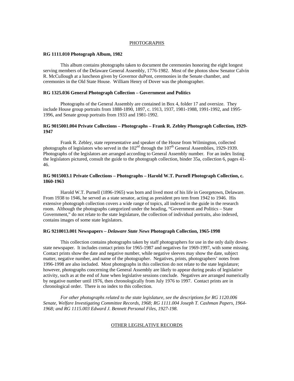#### PHOTOGRAPHS

#### **RG 1111.010 Photograph Album, 1982**

This album contains photographs taken to document the ceremonies honoring the eight longest serving members of the Delaware General Assembly, 1776-1982. Most of the photos show Senator Calvin R. McCullough at a luncheon given by Governor duPont, ceremonies in the Senate chamber, and ceremonies in the Old State House. William Henry of Dover was the photographer.

# **RG 1325.036 General Photograph Collection – Government and Politics**

Photographs of the General Assembly are contained in Box 4, folder 17 and oversize. They include House group portraits from 1888-1890, 1897, c. 1913, 1937, 1981-1988, 1991-1992, and 1995- 1996, and Senate group portraits from 1933 and 1981-1992.

# **RG 9015001.004 Private Collections – Photographs – Frank R. Zebley Photograph Collection, 1929- 1947**

 Frank R. Zebley, state representative and speaker of the House from Wilmington, collected photographs of legislators who served in the  $102<sup>nd</sup>$  through the  $107<sup>th</sup>$  General Assemblies, 1929-1939. Photographs of the legislators are arranged according to General Assembly number. For an index listing the legislators pictured, consult the guide to the photograph collection, binder 35a, collection 6, pages 41- 46.

# **RG 9015003.1 Private Collections – Photographs – Harold W.T. Purnell Photograph Collection, c. 1860-1963**

 Harold W.T. Purnell (1896-1965) was born and lived most of his life in Georgetown, Delaware. From 1938 to 1946, he served as a state senator, acting as president pro tem from 1942 to 1946. His extensive photograph collection covers a wide range of topics, all indexed in the guide in the research room. Although the photographs categorized under the heading, "Government and Politics – State Government," do not relate to the state legislature, the collection of individual portraits, also indexed, contains images of some state legislators.

#### **RG 9210013.001 Newspapers –** *Delaware State News* **Photograph Collection, 1965-1998**

 This collection contains photographs taken by staff photographers for use in the only daily downstate newspaper. It includes contact prints for 1965-1987 and negatives for 1969-1997, with some missing. Contact prints show the date and negative number, while negative sleeves may show the date, subject matter, negative number, and name of the photographer. Negatives, prints, photographers' notes from 1996-1998 are also included. Most photographs in this collection do not relate to the state legislature; however, photographs concerning the General Assembly are likely to appear during peaks of legislative activity, such as at the end of June when legislative sessions conclude. Negatives are arranged numerically by negative number until 1976, then chronologically from July 1976 to 1997. Contact prints are in chronological order. There is no index to this collection.

*For other photographs related to the state legislature, see the descriptions for RG 1120.006 Senate, Welfare Investigating Committee Records, 1968; RG 1111.004 Joseph T. Cashman Papers, 1964- 1968; and RG 1115.003 Edward J. Bennett Personal Files, 1927-198.* 

#### OTHER LEGISLATIVE RECORDS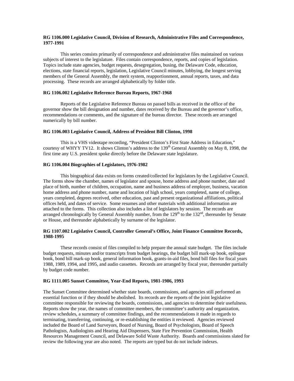# **RG 1106.000 Legislative Council, Division of Research, Administrative Files and Correspondence, 1977-1991**

This series consists primarily of correspondence and administrative files maintained on various subjects of interest to the legislature. Files contain correspondence, reports, and copies of legislation. Topics include state agencies, budget requests, desegregation, busing, the Delaware Code, education, elections, state financial reports, legislation, Legislative Council minutes, lobbying, the longest serving members of the General Assembly, the merit system, reapportionment, annual reports, taxes, and data processing. These records are arranged alphabetically by folder title.

# **RG 1106.002 Legislative Reference Bureau Reports, 1967-1968**

Reports of the Legislative Reference Bureau on passed bills as received in the office of the governor show the bill designation and number, dates received by the Bureau and the governor's office, recommendations or comments, and the signature of the bureau director. These records are arranged numerically by bill number.

# **RG 1106.003 Legislative Council, Address of President Bill Clinton, 1998**

 This is a VHS videotape recording, "President Clinton's First State Address in Education," courtesy of WHYY TV12. It shows Clinton's address to the 139<sup>th</sup> General Assembly on May 8, 1998, the first time any U.S. president spoke directly before the Delaware state legislature.

# **RG 1106.004 Biographies of Legislators, 1976-1982**

This biographical data exists on forms created/collected for legislators by the Legislative Council. The forms show the chamber, names of legislator and spouse, home address and phone number, date and place of birth, number of children, occupation, name and business address of employer, business, vacation home address and phone number, name and location of high school, years completed, name of college, years completed, degrees received, other education, past and present organizational affiliations, political offices held, and dates of service. Some resumes and other materials with additional information are attached to the forms. This collection also includes a list of legislators by session. The records are arranged chronologically by General Assembly number, from the  $129<sup>th</sup>$  to the  $132<sup>nd</sup>$ , thereunder by Senate or House, and thereunder alphabetically by surname of the legislator.

# **RG 1107.002 Legislative Council, Controller General's Office, Joint Finance Committee Records, 1988-1995**

 These records consist of files compiled to help prepare the annual state budget. The files include budget requests, minutes and/or transcripts from budget hearings, the budget bill mark-up book, epilogue book, bond bill mark-up book, general information book, grants-in-aid files, bond bill files for fiscal years 1988, 1989, 1994, and 1995, and audio cassettes. Records are arranged by fiscal year, thereunder partially by budget code number.

# **RG 1111.005 Sunset Committee, Year-End Reports, 1981-1986, 1993**

The Sunset Committee determined whether state boards, commissions, and agencies still performed an essential function or if they should be abolished. Its records are the reports of the joint legislative committee responsible for reviewing the boards, commissions, and agencies to determine their usefulness. Reports show the year, the names of committee members, the committee's authority and organization, review schedules, a summary of committee findings, and the recommendations it made in regards to terminating, transferring, continuing, or re-establishing the entities it reviewed. Agencies reviewed included the Board of Land Surveyors, Board of Nursing, Board of Psychologists, Board of Speech Pathologists, Audiologists and Hearing Aid Dispensers, State Fire Prevention Commission, Health Resources Management Council, and Delaware Solid Waste Authority. Boards and commissions slated for review the following year are also noted. The reports are typed but do not include indexes.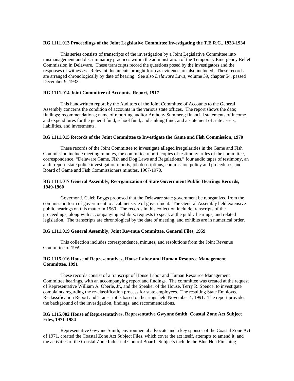#### **RG 1111.013 Proceedings of the Joint Legislative Committee Investigating the T.E.R.C., 1933-1934**

This series consists of transcripts of the investigation by a Joint Legislative Committee into mismanagement and discriminatory practices within the administration of the Temporary Emergency Relief Commission in Delaware. These transcripts record the questions posed by the investigators and the responses of witnesses. Relevant documents brought forth as evidence are also included. These records are arranged chronologically by date of hearing. See also *Delaware Laws*, volume 39, chapter 54, passed December 9, 1933.

# **RG 1111.014 Joint Committee of Accounts, Report, 1917**

 This handwritten report by the Auditors of the Joint Committee of Accounts to the General Assembly concerns the condition of accounts in the various state offices. The report shows the date; findings; recommendations; name of reporting auditor Anthony Summers; financial statements of income and expenditures for the general fund, school fund, and sinking fund; and a statement of state assets, liabilities, and investments.

#### **RG 1111.015 Records of the Joint Committee to Investigate the Game and Fish Commission, 1970**

These records of the Joint Committee to investigate alleged irregularities in the Game and Fish Commission include meeting minutes, the committee report, copies of testimony, rules of the committee, correspondence, "Delaware Game, Fish and Dog Laws and Regulations," four audio tapes of testimony, an audit report, state police investigation reports, job descriptions, commission policy and procedures, and Board of Game and Fish Commissioners minutes, 1967-1970.

# **RG 1111.017 General Assembly, Reorganization of State Government Public Hearings Records, 1949-1960**

 Governor J. Caleb Boggs proposed that the Delaware state government be reorganized from the commission form of government to a cabinet style of government. The General Assembly held extensive public hearings on this matter in 1960. The records in this collection inclulde transcripts of the proceedings, along with accompanying exhibits, requests to speak at the public hearings, and related legislation. The transcripts are chronological by the date of meeting, and exhibits are in numerical order.

# **RG 1111.019 General Assembly, Joint Revenue Committee, General Files, 1959**

 This collection includes correspondence, minutes, and resolutions from the Joint Revenue Committee of 1959.

# **RG 1115.016 House of Representatives, House Labor and Human Resource Management Committee, 1991**

 These records consist of a transcript of House Labor and Human Resource Management Committee hearings, with an accompanying report and findings. The committee was created at the request of Representative William A. Oberle, Jr., and the Speaker of the House, Terry R. Spence, to investigate complaints regarding the re-classification process for state employees. The resulting State Employee Reclassification Report and Transcript is based on hearings held November 4, 1991. The report provides the background of the investigation, findings, and recommendations.

# **RG 1115.002 House of Representatives, Representative Gwynne Smith, Coastal Zone Act Subject Files, 1971-1984**

 Representative Gwynne Smith, environmental advocate and a key sponsor of the Coastal Zone Act of 1971, created the Coastal Zone Act Subject Files, which cover the act itself, attempts to amend it, and the activities of the Coastal Zone Industrial Control Board. Subjects include the Blue Hen Finishing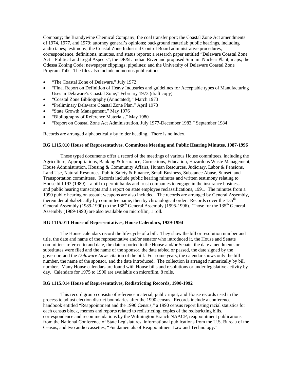Company; the Brandywine Chemical Company; the coal transfer port; the Coastal Zone Act amendments of 1974, 1977, and 1979; attorney general's opinions; background material; public hearings, including audio tapes; testimony; the Coastal Zone Industrial Control Board administrative procedures, correspondence, definitions, minutes, and status reports; a research paper entitled "Delaware Coastal Zone Act – Political and Legal Aspects"; the DP&L Indian River and proposed Summit Nuclear Plant; maps; the Odessa Zoning Code; newspaper clippings; pipelines; and the University of Delaware Coastal Zone Program Talk. The files also include numerous publications:

- "The Coastal Zone of Delaware," July 1972
- "Final Report on Definition of Heavy Industries and guidelines for Acceptable types of Manufacturing Uses in Delaware's Coastal Zone," February 1973 (draft copy)
- "Coastal Zone Bibliography (Annotated)," March 1973
- "Preliminary Delaware Coastal Zone Plan," April 1973
- "State Growth Management," May 1976
- "Bibliography of Reference Materials," May 1980
- "Report on Coastal Zone Act Administration, July 1977-December 1983," September 1984

Records are arranged alphabetically by folder heading. There is no index.

#### **RG 1115.010 House of Representatives, Committee Meeting and Public Hearing Minutes, 1987-1996**

These typed documents offer a record of the meetings of various House committees, including the Agriculture, Appropriations, Banking & Insurance, Corrections, Education, Hazardous Waste Management, House Administration, Housing & Community Affairs, Human Resources, Judiciary, Labor & Pensions, Land Use, Natural Resources, Public Safety & Finance, Small Business, Substance Abuse, Sunset, and Transportation committees. Records include public hearing minutes and written testimony relating to House bill 193 (1989) – a bill to permit banks and trust companies to engage in the insurance business – and public hearing transcripts and a report on state employee reclassifications, 1991. The minutes from a 1990 public hearing on assault weapons are also included. The records are arranged by General Assembly, thereunder alphabetically by committee name, then by chronological order. Records cover the  $135<sup>th</sup>$ General Assembly (1989-1990) to the  $138<sup>th</sup>$  General Assembly (1995-1996). Those for the  $135<sup>th</sup>$  General Assembly (1989-1990) are also available on microfilm, 1 roll.

#### **RG 1115.011 House of Representatives, House Calendars, 1939-1994**

The House calendars record the life-cycle of a bill. They show the bill or resolution number and title, the date and name of the representative and/or senator who introduced it, the House and Senate committees referred to and date, the date reported to the House and/or Senate, the date amendments or substitutes were filed and the name of the sponsor, the date tabled or passed, the date signed by the governor, and the *Delaware Laws* citation of the bill. For some years, the calendar shows only the bill number, the name of the sponsor, and the date introduced. The collection is arranged numerically by bill number. Many House calendars are found with House bills and resolutions or under legislative activity by day. Calendars for 1975 to 1990 are available on microfilm, 8 rolls.

# **RG 1115.014 House of Representatives, Redistricting Records, 1990-1992**

This record group consists of reference material, public input, and House records used in the process to adjust election district boundaries after the 1990 census. Records include a conference handbook entitled "Reappointment and the 1990 Census," a 1990 census report listing racial statistics for each census block, memos and reports related to redistricting, copies of the redistricting bills, correspondence and recommendations by the Wilmington Branch NAACP, reappointment publications from the National Conference of State Legislatures, informational publications from the U.S. Bureau of the Census, and two audio cassettes, "Fundamentals of Reappointment Law and Technology."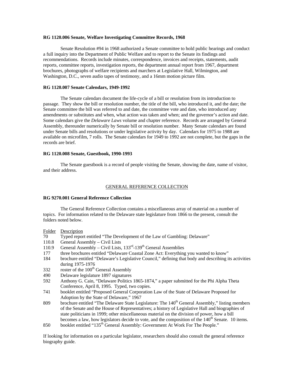# **RG 1120.006 Senate, Welfare Investigating Committee Records, 1968**

Senate Resolution #94 in 1968 authorized a Senate committee to hold public hearings and conduct a full inquiry into the Department of Public Welfare and to report to the Senate its findings and recommendations. Records include minutes, correspondence, invoices and receipts, statements, audit reports, committee reports, investigation reports, the department annual report from 1967, department brochures, photographs of welfare recipients and marchers at Legislative Hall, Wilmington, and Washington, D.C., seven audio tapes of testimony, and a 16mm motion picture film.

# **RG 1120.007 Senate Calendars, 1949-1992**

The Senate calendars document the life-cycle of a bill or resolution from its introduction to passage. They show the bill or resolution number, the title of the bill, who introduced it, and the date; the Senate committee the bill was referred to and date, the committee vote and date, who introduced any amendments or substitutes and when, what action was taken and when; and the governor's action and date. Some calendars give the *Delaware Laws* volume and chapter reference. Records are arranged by General Assembly, thereunder numerically by Senate bill or resolution number. Many Senate calendars are found under Senate bills and resolutions or under legislative activity by day. Calendars for 1975 to 1988 are available on microfilm, 7 rolls. The Senate calendars for 1949 to 1992 are not complete, but the gaps in the records are brief.

# **RG 1120.008 Senate, Guestbook, 1990-1993**

The Senate guestbook is a record of people visiting the Senate, showing the date, name of visitor, and their address.

#### GENERAL REFERENCE COLLECTION

# **RG 9270.001 General Reference Collection**

 The General Reference Collection contains a miscellaneous array of material on a number of topics. For information related to the Delaware state legislature from 1866 to the present, consult the folders noted below.

#### Folder Description

- 70 Typed report entitled "The Development of the Law of Gambling: Delaware"
- 110.8 General Assembly Civil Lists
- 110.9 General Assembly Civil Lists,  $133<sup>rd</sup>$ -139<sup>th</sup> General Assemblies
- 177 three brochures entitled "Delaware Coastal Zone Act: Everything you wanted to know"
- 184 brochure entitled "Delaware's Legislative Council," defining that body and describing its activities during 1975-1976
- $332$  roster of the  $100<sup>th</sup>$  General Assembly
- 490 Delaware legislature 1897 signatures
- 592 Anthony G. Cain, "Delaware Politics 1865-1874," a paper submitted for the Phi Alpha Theta Conference, April 8, 1995. Typed, two copies.
- 741 booklet entitled "Proposed General Corporation Law of the State of Delaware Proposed for Adoption by the State of Delaware," 1967
- 809 brochure entitled "The Delaware State Legislature: The 140<sup>th</sup> General Assembly," listing members of the Senate and the House of Representatives; a history of Legislative Hall and biographies of state politicians in 1999; other miscellaneous material on the division of power, how a bill becomes a law, how legislators decide to vote, and the composition of the  $140<sup>th</sup>$  Senate. 10 items.
- 850 booklet entitled "135<sup>th</sup> General Assembly: Government At Work For The People."

If looking for information on a particular legislator, researchers should also consult the general reference biography guide.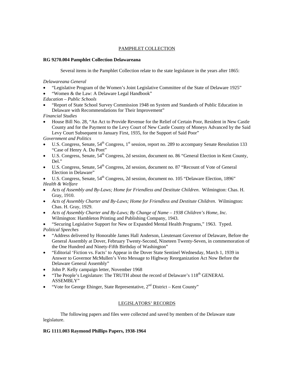# PAMPHLET COLLECTION

# **RG 9270.004 Pamphlet Collection Delawareana**

Several items in the Pamphlet Collection relate to the state legislature in the years after 1865:

*Delawareana General* 

- "Legislative Program of the Women's Joint Legislative Committee of the State of Delaware 1925"
- "Women & the Law: A Delaware Legal Handbook"
- *Education Public Schools*
- "Report of State School Survey Commission 1948 on System and Standards of Public Education in Delaware with Recommendations for Their Improvement"
- *Financial Studies*
- House Bill No. 28, "An Act to Provide Revenue for the Relief of Certain Poor, Resident in New Castle County and for the Payment to the Levy Court of New Castle County of Moneys Advanced by the Said Levy Court Subsequent to January First, 1935, for the Support of Said Poor"

*Government and Politics* 

- U.S. Congress, Senate, 54<sup>th</sup> Congress, 1<sup>st</sup> session, report no. 289 to accompany Senate Resolution 133 "Case of Henry A. Du Pont"
- U.S. Congress, Senate, 54<sup>th</sup> Congress, 2d session, document no. 86 "General Election in Kent County, Del."
- $\bullet$  U.S. Congress, Senate,  $54<sup>th</sup>$  Congress, 2d session, document no. 87 "Recount of Vote of General Election in Delaware"
- U.S. Congress, Senate, 54<sup>th</sup> Congress, 2d session, document no. 105 "Delaware Election, 1896" *Health & Welfare*
- *Acts of Assembly and By-Laws; Home for Friendless and Destitute Children*. Wilmington: Chas. H. Gray, 1910.
- *Acts of Assembly Charter and By-Laws; Home for Friendless and Destitute Children*. Wilmington: Chas. H. Gray, 1929.
- *Acts of Assembly Charter and By-Laws; By Change of Name 1938 Children's Home, Inc*. Wilmington: Hambleton Printing and Publishing Company, 1943.
- "Securing Legislative Support for New or Expanded Mental Health Programs," 1963. Typed. *Political Speeches*
- "Address delivered by Honorable James Hall Anderson, Lieutenant Governor of Delaware, Before the General Assembly at Dover, February Twenty-Second, Nineteen Twenty-Seven, in commemoration of the One Hundred and Ninety-Fifth Birthday of Washington"
- "Editorial 'Fiction vs. Facts' to Appear in the Dover State Sentinel Wednesday, March 1, 1939 in Answer to Governor McMullen's Veto Message to Highway Reorganization Act Now Before the Delaware General Assembly"
- John P. Kelly campaign letter, November 1968
- "The People's Legislature: The TRUTH about the record of Delaware's  $118<sup>th</sup>$  GENERAL ASSEMBLY"
- "Vote for George Ehinger, State Representative,  $2<sup>nd</sup>$  District Kent County"

# LEGISLATORS' RECORDS

 The following papers and files were collected and saved by members of the Delaware state legislature.

# **RG 1111.003 Raymond Phillips Papers, 1938-1964**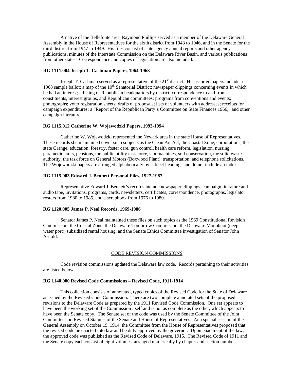A native of the Bellefonte area, Raymond Phillips served as a member of the Delaware General Assembly in the House of Representatives for the sixth district from 1943 to 1946, and in the Senate for the third district from 1947 to 1949. His files consist of state agency annual reports and other agency publications, minutes of the Interstate Commission on the Delaware River Basin, and various publications from other states. Correspondence and copies of legislation are also included.

#### **RG 1111.004 Joseph T. Cashman Papers, 1964-1968**

Joseph T. Cashman served as a representative of the  $21<sup>st</sup>$  district. His assorted papers include a 1968 sample ballot; a map of the 10<sup>th</sup> Senatorial District; newspaper clippings concerning events in which he had an interest; a listing of Republican headquarters by district; correspondence to and from constituents, interest groups, and Republican committees; programs from conventions and events; photographs; voter registration sheets; drafts of proposals; lists of volunteers with addresses; receipts for campaign expenditures; a "Report of the Republican Party's Committee on State Finances 1966," and other campaign literature.

#### **RG 1115.012 Catherine W. Wojewodzki Papers, 1993-1994**

Catherine W. Wojewodzki represented the Newark area in the state House of Representatives. These records she maintained cover such subjects as the Clean Air Act, the Coastal Zone, corporations, the state Grange, education, forestry, foster care, gun control, health care reform, legislation, nursing, paramedic units, pensions, the public utility task force, slot machines, soil conservation, the solid waste authority, the task force on General Motors (Boxwood Plant), transportation, and telephone solicitations. The Wojewodzki papers are arranged alphabetically by subject headings and do not include an index.

# **RG 1115.003 Edward J. Bennett Personal Files, 1927-1987**

Representative Edward J. Bennett's records include newspaper clippings, campaign literature and audio tape, invitations, programs, cards, newsletters, certificates, correspondence, photographs, legislator rosters from 1980 to 1985, and a scrapbook from 1976 to 1980.

# **RG 1120.005 James P. Neal Records, 1969-1986**

Senator James P. Neal maintained these files on such topics as the 1969 Constitutional Revision Commission, the Coastal Zone, the Delaware Tomorrow Commission, the Delaware Monobuot (deepwater port), subsidized rental housing, and the Senate Ethics Committee investigation of Senator John Arnold.

#### CODE REVISION COMMISSIONS

 Code revision commissions updated the Delaware law code. Records pertaining to their activities are listed below.

# **RG 1140.000 Revised Code Commissions – Revised Code, 1911-1914**

This collection consists of annotated, typed copies of the Revised Code for the State of Delaware as issued by the Revised Code Commission. There are two complete annotated sets of the proposed revisions to the Delaware Code as prepared by the 1911 Revised Code Commission. One set appears to have been the working set of the Commission itself and is not as complete as the other, which appears to have been the Senate copy. The Senate set of the code was used by the Senate Committee of the Joint Committees on Revised Statutes of the Senate and House of Representatives. At a special session of the General Assembly on October 19, 1914, the Committee from the House of Representatives proposed that the revised code be enacted into law and be duly approved by the governor. Upon enactment of the law, the approved code was published as the Revised Code of Delaware, 1915. The Revised Code of 1911 and the Senate copy each consist of eight volumes, arranged numerically by chapter and section number.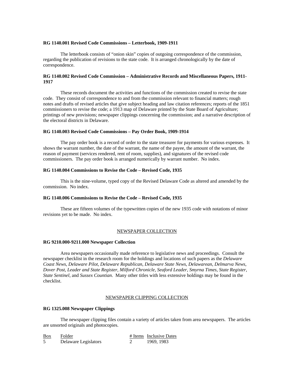#### **RG 1140.001 Revised Code Commissions – Letterbook, 1909-1911**

The letterbook consists of "onion skin" copies of outgoing correspondence of the commission, regarding the publication of revisions to the state code. It is arranged chronologically by the date of correspondence.

# **RG 1140.002 Revised Code Commission – Administrative Records and Miscellaneous Papers, 1911- 1917**

 These records document the activities and functions of the commission created to revise the state code. They consist of correspondence to and from the commission relevant to financial matters; rough notes and drafts of revised articles that give subject heading and law citation references; reports of the 1851 commissioners to revise the code; a 1913 map of Delaware printed by the State Board of Agriculture; printings of new provisions; newspaper clippings concerning the commission; and a narrative description of the electoral districts in Delaware.

#### **RG 1140.003 Revised Code Commissions – Pay Order Book, 1909-1914**

The pay order book is a record of order to the state treasurer for payments for various expenses. It shows the warrant number, the date of the warrant, the name of the payee, the amount of the warrant, the reason of payment (services rendered, rent of room, supplies), and signatures of the revised code commissioners. The pay order book is arranged numerically by warrant number. No index.

#### **RG 1140.004 Commissions to Revise the Code – Revised Code, 1935**

This is the nine-volume, typed copy of the Revised Delaware Code as altered and amended by the commission. No index.

# **RG 1140.006 Commissions to Revise the Code – Revised Code, 1935**

These are fifteen volumes of the typewritten copies of the new 1935 code with notations of minor revisions yet to be made. No index.

#### NEWSPAPER COLLECTION

#### **RG 9210.000-9211.000 Newspaper Collection**

Area newspapers occasionally made reference to legislative news and proceedings. Consult the newspaper checklist in the research room for the holdings and locations of such papers as the *Delaware Coast News*, *Delaware Pilot*, *Delaware Republican*, *Delaware State News*, *Delawarean*, *Delmarva News*, *Dover Post*, *Leader and State Register*, *Milford Chronicle*, *Seaford Leader*, *Smyrna Times*, *State Register*, *State Sentinel*, and *Sussex Countian*. Many other titles with less extensive holdings may be found in the checklist.

#### NEWSPAPER CLIPPING COLLECTION

#### **RG 1325.008 Newspaper Clippings**

The newspaper clipping files contain a variety of articles taken from area newspapers. The articles are unsorted originals and photocopies.

| <b>Box</b> | Folder               | # Items Inclusive Dates |
|------------|----------------------|-------------------------|
|            | Delaware Legislators | 1969, 1983              |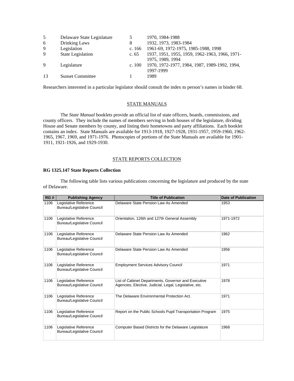| Delaware State Legislature |          | 1970, 1984-1988                                |
|----------------------------|----------|------------------------------------------------|
| Drinking Laws              | 8        | 1932, 1973, 1983-1984                          |
| Legislation                | c. 166   | 1961-69, 1972-1975, 1985-1988, 1998            |
| State Legislation          | c. $65$  | 1937, 1951, 1955, 1959, 1962-1963, 1966, 1971- |
|                            |          | 1975, 1989, 1994                               |
| Legislature                | c. $100$ | 1970, 1972-1977, 1984, 1987, 1989-1992, 1994,  |
|                            |          | 1997-1999                                      |
| <b>Sunset Committee</b>    |          | 1989                                           |
|                            |          |                                                |

Researchers interested in a particular legislator should consult the index to person's names in binder 68.

# STATE MANUALS

The *State Manual* booklets provide an official list of state officers, boards, commissions, and county officers. They include the names of members serving in both houses of the legislature, dividing House and Senate members by county, and listing their hometowns and party affiliations. Each booklet contains an index. State Manuals are available for 1913-1918, 1927-1928, 1931-1957, 1959-1960, 1962- 1965, 1967, 1969, and 1971-1976. Photocopies of portions of the State Manuals are available for 1901- 1911, 1921-1926, and 1929-1930.

# STATE REPORTS COLLECTION

# **RG 1325.147 State Reports Collection**

The following table lists various publications concerning the legislature and produced by the state of Delaware.

| RG#  | <b>Publishing Agency</b>                                   | <b>Title of Publication</b>                                                                                   | <b>Date of Publication</b> |
|------|------------------------------------------------------------|---------------------------------------------------------------------------------------------------------------|----------------------------|
| 1106 | Legislative Reference<br><b>Bureau/Legislative Council</b> | Delaware State Pension Law As Amended                                                                         | 1953                       |
| 1106 | Legislative Reference<br><b>Bureau/Legislative Council</b> | Orientation, 126th and 127th General Assembly                                                                 | 1971-1972                  |
| 1106 | Legislative Reference<br>Bureau/Legislative Council        | Delaware State Pension Law As Amended                                                                         | 1962                       |
| 1106 | Legislative Reference<br>Bureau/Legislative Council        | Delaware State Pension Law As Amended                                                                         | 1956                       |
| 1106 | Legislative Reference<br><b>Bureau/Legislative Council</b> | <b>Employment Services Advisory Council</b>                                                                   | 1971                       |
| 1106 | Legislative Reference<br><b>Bureau/Legislative Council</b> | List of Cabinet Departments, Governor and Executive<br>Agencies, Elective, Judicial, Legal, Legislative, etc. | 1978                       |
| 1106 | Legislative Reference<br>Bureau/Legislative Council        | The Delaware Environmental Protection Act.                                                                    | 1971                       |
| 1106 | Legislative Reference<br><b>Bureau/Legislative Council</b> | Report on the Public Schools Pupil Transportation Program                                                     | 1975                       |
| 1106 | Legislative Reference<br><b>Bureau/Legislative Council</b> | Computer Based Districts for the Delaware Legislature                                                         | 1968                       |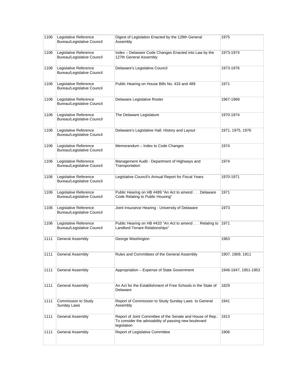| 1106 | Legislative Reference<br><b>Bureau/Legislative Council</b> | Digest of Legislation Enacted by the 128th General<br>Assembly                                                                     | 1975                 |
|------|------------------------------------------------------------|------------------------------------------------------------------------------------------------------------------------------------|----------------------|
| 1106 | Legislative Reference<br><b>Bureau/Legislative Council</b> | Index - Delaware Code Changes Enacted into Law by the<br>127th General Assembly                                                    | 1973-1974            |
| 1106 | Legislative Reference<br><b>Bureau/Legislative Council</b> | Delaware's Legislative Council                                                                                                     | 1973-1976            |
| 1106 | Legislative Reference<br><b>Bureau/Legislative Council</b> | Public Hearing on House Bills No. 433 and 489                                                                                      | 1971                 |
| 1106 | Legislative Reference<br><b>Bureau/Legislative Council</b> | Delaware Legislative Roster                                                                                                        | 1967-1968            |
| 1106 | Legislative Reference<br><b>Bureau/Legislative Council</b> | The Delaware Legislature                                                                                                           | 1970-1974            |
| 1106 | Legislative Reference<br>Bureau/Legislative Council        | Delaware's Legislative Hall, History and Layout                                                                                    | 1971, 1975, 1976     |
| 1106 | Legislative Reference<br><b>Bureau/Legislative Council</b> | Memorandum - Index to Code Changes                                                                                                 | 1974                 |
| 1106 | Legislative Reference<br><b>Bureau/Legislative Council</b> | Management Audit - Department of Highways and<br>Transportation                                                                    | 1974                 |
| 1106 | Legislative Reference<br><b>Bureau/Legislative Council</b> | Legislative Council's Annual Report for Fiscal Years                                                                               | 1970-1971            |
| 1106 | Legislative Reference<br>Bureau/Legislative Council        | Public Hearing on HB #489 "An Act to amend Delaware<br>Code Relating to Public Housing"                                            | 1971                 |
| 1106 | Legislative Reference<br><b>Bureau/Legislative Council</b> | Joint Insurance Hearing - University of Delaware                                                                                   | 1973                 |
| 1106 | Legislative Reference<br><b>Bureau/Legislative Council</b> | Public Hearing on HB #433 "An Act to amend Relating to<br>Landlord-Tenant Relationships"                                           | 1971                 |
| 1111 | General Assembly                                           | George Washington                                                                                                                  | 1963                 |
| 1111 | <b>General Assembly</b>                                    | Rules and Committees of the General Assembly                                                                                       | 1907, 1909, 1911     |
| 1111 | General Assembly                                           | Appropriation - Expense of State Government                                                                                        | 1946-1947, 1951-1953 |
| 1111 | General Assembly                                           | An Act for the Establishment of Free Schools in the State of<br>Delaware                                                           | 1829                 |
| 1111 | Commission to Study<br>Sunday Laws                         | Report of Commission to Study Sunday Laws to General<br>Assembly                                                                   | 1941                 |
| 1111 | General Assembly                                           | Report of Joint Committee of the Senate and House of Rep.:<br>To consider the advisability of passing new boulevard<br>legislation | 1913                 |
| 1111 | General Assembly                                           | Report of Legislative Committee                                                                                                    | 1906                 |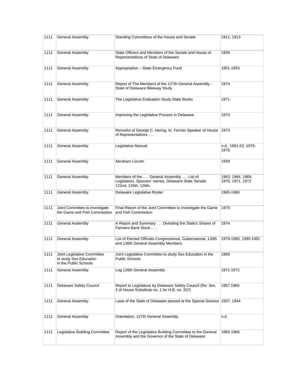| 1111 | <b>General Assembly</b>                                                        | Standing Committees of the House and Senate                                                                            | 1911, 1913                            |
|------|--------------------------------------------------------------------------------|------------------------------------------------------------------------------------------------------------------------|---------------------------------------|
| 1111 | <b>General Assembly</b>                                                        | State Officers and Members of the Senate and House of<br>Representatives of State of Delaware                          | 1939                                  |
| 1111 | General Assembly                                                               | Appropriation - State Emergency Fund                                                                                   | 1951-1953                             |
| 1111 | General Assembly                                                               | Report of The Members of the 127th General Assembly -<br>State of Delaware Bikeway Study                               | 1974                                  |
| 1111 | General Assembly                                                               | The Legislative Evaluation Study State Books                                                                           | 1971                                  |
| 1111 | <b>General Assembly</b>                                                        | Improving the Legislative Process in Delaware                                                                          | 1973                                  |
| 1111 | General Assembly                                                               | Remarks of George C. Hering, III, Former Speaker of House<br>of Representatives                                        | 1973                                  |
| 1111 | General Assembly                                                               | Legislative Manual                                                                                                     | n.d., 1951-52; 1975-<br>1976          |
| 1111 | General Assembly                                                               | Abraham Lincoln                                                                                                        | 1929                                  |
| 1111 | <b>General Assembly</b>                                                        | Members of the General Assembly List of<br>Legislators, Spouses' names, Delaware State Senate.<br>122nd, 125th, 126th. | 1963, 1964, 1969,<br>1970, 1971, 1972 |
|      |                                                                                |                                                                                                                        |                                       |
| 1111 | <b>General Assembly</b>                                                        | Delaware Legislative Roster                                                                                            | 1965-1966                             |
| 1111 | Joint Committee to Investigate<br>the Game and Fish Commission                 | Final Report of the Joint Committee to Investigate the Game<br>and Fish Commission                                     | 1970                                  |
| 1111 | General Assembly                                                               | A Report and Summary Divesting the State's Shares of<br>Farmers Bank Stock                                             | 1974                                  |
| 1111 | <b>General Assembly</b>                                                        | List of Elected Officials Congressional, Gubernatorial, 130th<br>and 136th General Assembly Members                    | 1979-1980, 1990-1991                  |
| 1111 | Joint Legislative Committee<br>to study Sex Education<br>in the Public Schools | Joint Legislative Committee to study Sex Education in the<br><b>Public Schools</b>                                     | 1969                                  |
| 1111 | <b>General Assembly</b>                                                        | Log 126th General Assembly                                                                                             | 1971-1972                             |
| 1111 | Delaware Safety Council                                                        | Report to Legislature by Delaware Safety Council (Re: Sec.<br>2 of House Substitute no. 1 for H.B. no. 207)            | 1967,1969                             |
| 1111 | General Assembly                                                               | Laws of the State of Delaware passed at the Special Session 1937, 1944                                                 |                                       |
| 1111 | <b>General Assembly</b>                                                        | Orientation, 127th General Assembly                                                                                    | n.d.                                  |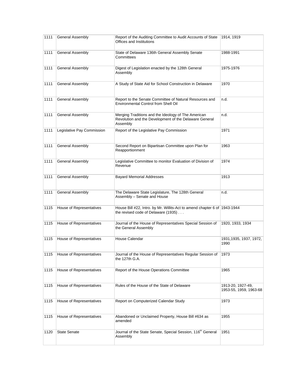| 1111 | General Assembly           | Report of the Auditing Committee to Audit Accounts of State<br>Offices and Institutions                                   | 1914, 1919                                  |
|------|----------------------------|---------------------------------------------------------------------------------------------------------------------------|---------------------------------------------|
| 1111 | <b>General Assembly</b>    | State of Delaware 136th General Assembly Senate<br>Committees                                                             | 1988-1991                                   |
| 1111 | General Assembly           | Digest of Legislation enacted by the 128th General<br>Assembly                                                            | 1975-1976                                   |
| 1111 | General Assembly           | A Study of State Aid for School Construction in Delaware                                                                  | 1970                                        |
| 1111 | General Assembly           | Report to the Senate Committee of Natural Resources and<br>Environmental Control from Shell Oil                           | n.d.                                        |
| 1111 | <b>General Assembly</b>    | Merging Traditions and the Ideology of The American<br>Revolution and the Development of the Delaware General<br>Assembly | n.d.                                        |
| 1111 | Legislative Pay Commission | Report of the Legislative Pay Commission                                                                                  | 1971                                        |
| 1111 | General Assembly           | Second Report on Bipartisan Committee upon Plan for<br>Reapportionment                                                    | 1963                                        |
| 1111 | General Assembly           | Legislative Committee to monitor Evaluation of Division of<br>Revenue                                                     | 1974                                        |
| 1111 | General Assembly           | <b>Bayard Memorial Addresses</b>                                                                                          | 1913                                        |
| 1111 | <b>General Assembly</b>    | The Delaware State Legislature, The 128th General<br>Assembly - Senate and House                                          | n.d.                                        |
| 1115 | House of Representatives   | House Bill #22, Intro. by Mr. Willits-Act to amend chapter 6 of 1943-1944<br>the revised code of Delaware (1935)          |                                             |
| 1115 | House of Representatives   | Journal of the House of Representatives Special Session of<br>the General Assembly                                        | 1920, 1933, 1934                            |
| 1115 | House of Representatives   | House Calendar                                                                                                            | 1931, 1935, 1937, 1972,<br>1990             |
| 1115 | House of Representatives   | Journal of the House of Representatives Regular Session of<br>the 127th G.A.                                              | 1973                                        |
| 1115 | House of Representatives   | Report of the House Operations Committee                                                                                  | 1965                                        |
| 1115 | House of Representatives   | Rules of the House of the State of Delaware                                                                               | 1913-20, 1927-49,<br>1953-55, 1959, 1963-68 |
| 1115 | House of Representatives   | Report on Computerized Calendar Study                                                                                     | 1973                                        |
| 1115 | House of Representatives   | Abandoned or Unclaimed Property, House Bill #634 as<br>amended                                                            | 1955                                        |
| 1120 | <b>State Senate</b>        | Journal of the State Senate, Special Session, 116 <sup>th</sup> General<br>Assembly                                       | 1951                                        |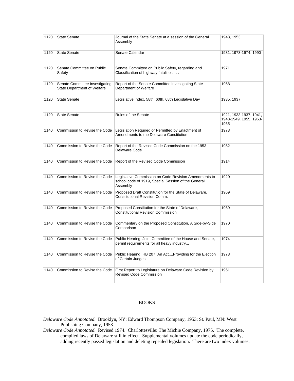| 1120 | <b>State Senate</b>                                                  | Journal of the State Senate at a session of the General<br>Assembly                                                      | 1943, 1953                                               |
|------|----------------------------------------------------------------------|--------------------------------------------------------------------------------------------------------------------------|----------------------------------------------------------|
| 1120 | <b>State Senate</b>                                                  | Senate Calendar                                                                                                          | 1931, 1973-1974, 1990                                    |
| 1120 | Senate Committee on Public<br>Safety                                 | Senate Committee on Public Safety, regarding and<br>Classification of highway fatalities                                 | 1971                                                     |
| 1120 | Senate Committee Investigating<br><b>State Department of Welfare</b> | Report of the Senate Committee investigating State<br>Department of Welfare                                              | 1968                                                     |
| 1120 | <b>State Senate</b>                                                  | Legislative Index, 58th, 60th, 68th Legislative Day                                                                      | 1935, 1937                                               |
| 1120 | <b>State Senate</b>                                                  | Rules of the Senate                                                                                                      | 1921, 1933-1937, 1941,<br>1943-1949, 1955, 1963-<br>1965 |
| 1140 | Commission to Revise the Code                                        | Legislation Required or Permitted by Enactment of<br>Amendments to the Delaware Constitution                             | 1973                                                     |
| 1140 | Commission to Revise the Code                                        | Report of the Revised Code Commission on the 1953<br>Delaware Code                                                       | 1952                                                     |
| 1140 | Commission to Revise the Code                                        | Report of the Revised Code Commission                                                                                    | 1914                                                     |
| 1140 | Commission to Revise the Code                                        | Legislative Commission on Code Revision Amendments to<br>school code of 1919, Special Session of the General<br>Assembly | 1920                                                     |
| 1140 | Commission to Revise the Code                                        | Proposed Draft Constitution for the State of Delaware,<br><b>Constitutional Revision Comm.</b>                           | 1969                                                     |
| 1140 | Commission to Revise the Code                                        | Proposed Constitution for the State of Delaware,<br><b>Constitutional Revision Commission</b>                            | 1969                                                     |
| 1140 | Commission to Revise the Code                                        | Commentary on the Proposed Constitution, A Side-by-Side<br>Comparison                                                    | 1970                                                     |
| 1140 | Commission to Revise the Code                                        | Public Hearing, Joint Committee of the House and Senate,<br>permit requirements for all heavy industry                   | 1974                                                     |
| 1140 | Commission to Revise the Code                                        | Public Hearing, HB 207 An ActProviding for the Election<br>of Certain Judges                                             | 1973                                                     |
| 1140 | Commission to Revise the Code                                        | First Report to Legislature on Delaware Code Revision by<br><b>Revised Code Commission</b>                               | 1951                                                     |

# BOOKS

- *Delaware Code Annotated*. Brooklyn, NY: Edward Thompson Company, 1953; St. Paul, MN: West Publishing Company, 1953.
- *Delaware Code Annotated*. Revised 1974. Charlottesville: The Michie Company, 1975. The complete, compiled laws of Delaware still in effect. Supplemental volumes update the code periodically, adding recently passed legislation and deleting repealed legislation. There are two index volumes.